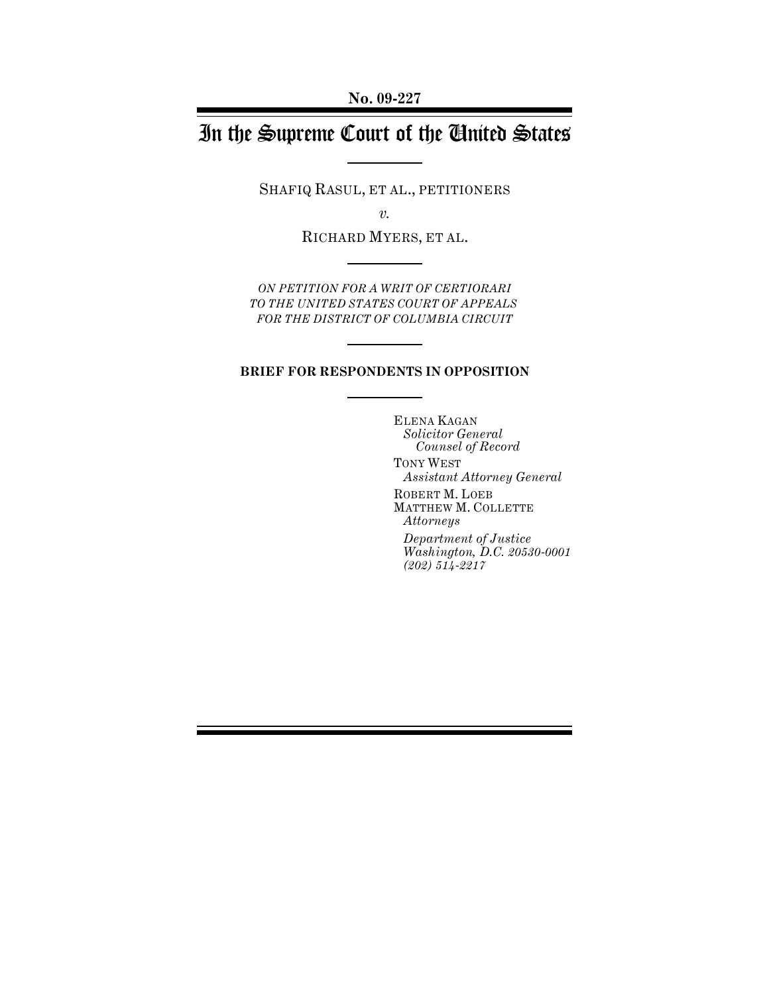# In the Supreme Court of the United States

SHAFIQ RASUL, ET AL., PETITIONERS

*v.*

RICHARD MYERS, ET AL.

*ON PETITION FOR A WRIT OF CERTIORARI TO THE UNITED STATES COURT OF APPEALS FOR THE DISTRICT OF COLUMBIA CIRCUIT*

### **BRIEF FOR RESPONDENTS IN OPPOSITION**

ELENA KAGAN *Solicitor General Counsel of Record*

TONY WEST *Assistant Attorney General*

ROBERT M. LOEB MATTHEW M. COLLETTE *Attorneys* 

*Department of Justice Washington, D.C. 20530-0001 (202) 514-2217*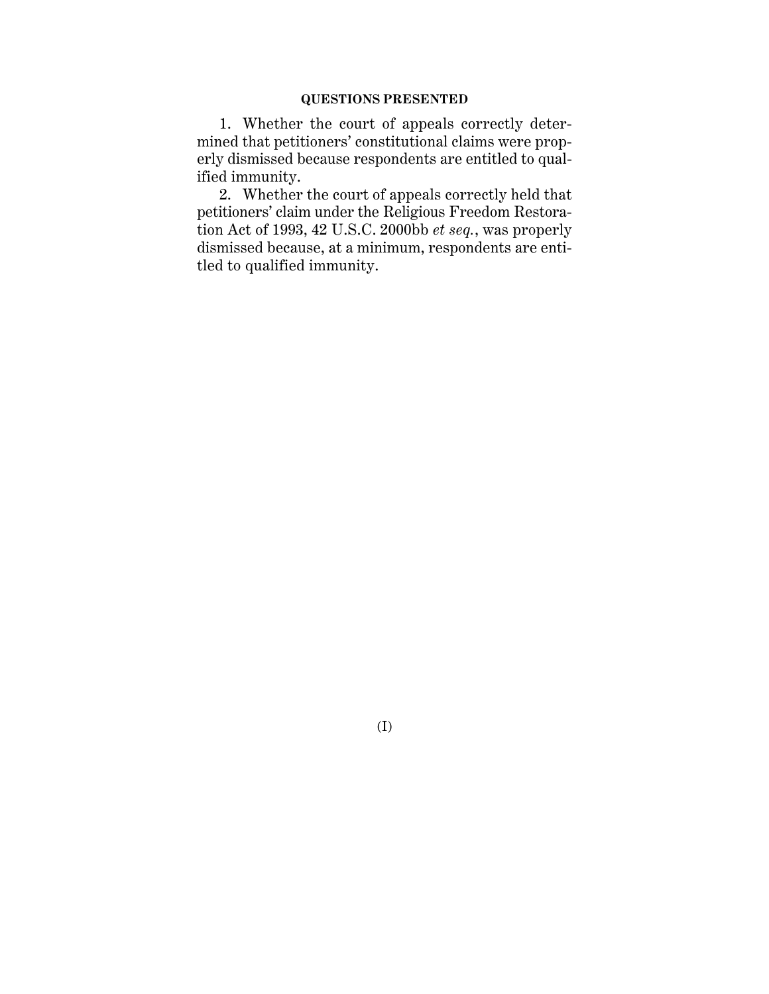### **QUESTIONS PRESENTED**

1. Whether the court of appeals correctly determined that petitioners' constitutional claims were properly dismissed because respondents are entitled to qualified immunity.

2. Whether the court of appeals correctly held that petitioners' claim under the Religious Freedom Restoration Act of 1993, 42 U.S.C. 2000bb *et seq.*, was properly dismissed because, at a minimum, respondents are entitled to qualified immunity.

(I)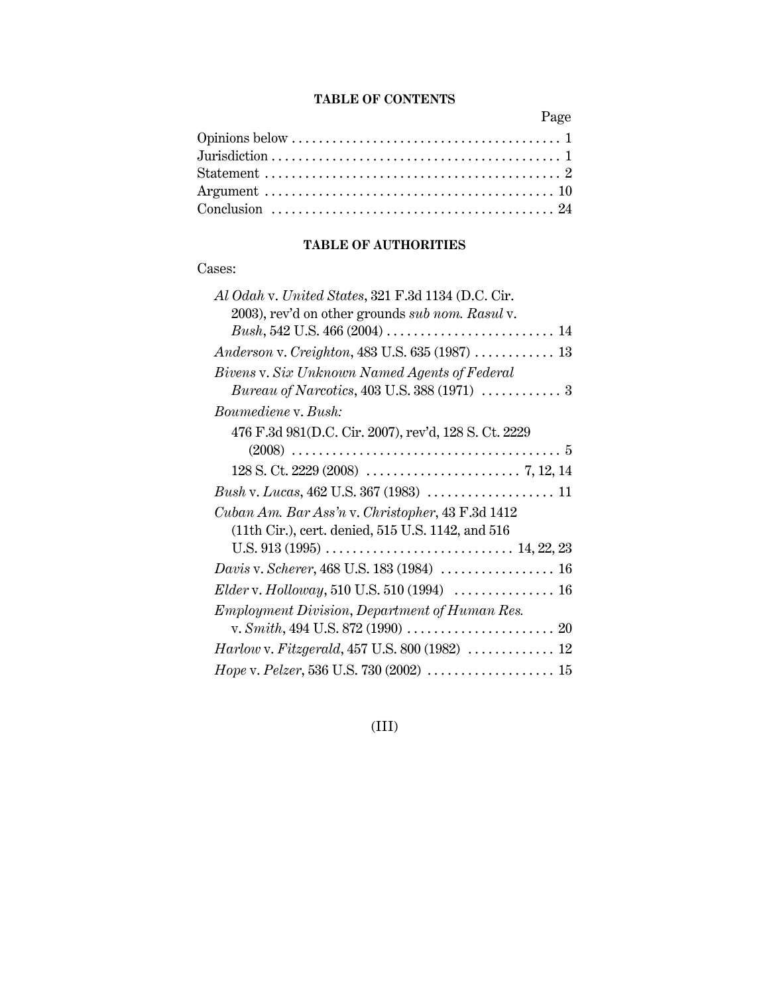### **TABLE OF CONTENTS**

Page

| Argument $\dots\dots\dots\dots\dots\dots\dots\dots\dots\dots\dots\dots\dots\dots 10$ |
|--------------------------------------------------------------------------------------|
|                                                                                      |
|                                                                                      |

## **TABLE OF AUTHORITIES**

## Cases:

| Al Odah v. United States, 321 F.3d 1134 (D.C. Cir.    |
|-------------------------------------------------------|
| 2003), rev'd on other grounds sub nom. Rasul v.       |
|                                                       |
|                                                       |
| Bivens v. Six Unknown Named Agents of Federal         |
|                                                       |
| Boumediene v. Bush:                                   |
| 476 F.3d 981 (D.C. Cir. 2007), rev'd, 128 S. Ct. 2229 |
|                                                       |
|                                                       |
|                                                       |
| Cuban Am. Bar Ass'n v. Christopher, 43 F.3d 1412      |
| (11th Cir.), cert. denied, 515 U.S. 1142, and 516     |
|                                                       |
|                                                       |
|                                                       |
| Employment Division, Department of Human Res.         |
|                                                       |
| Harlow v. Fitzgerald, 457 U.S. 800 (1982)  12         |
| Hope v. Pelzer, 536 U.S. 730 (2002)  15               |

## (III)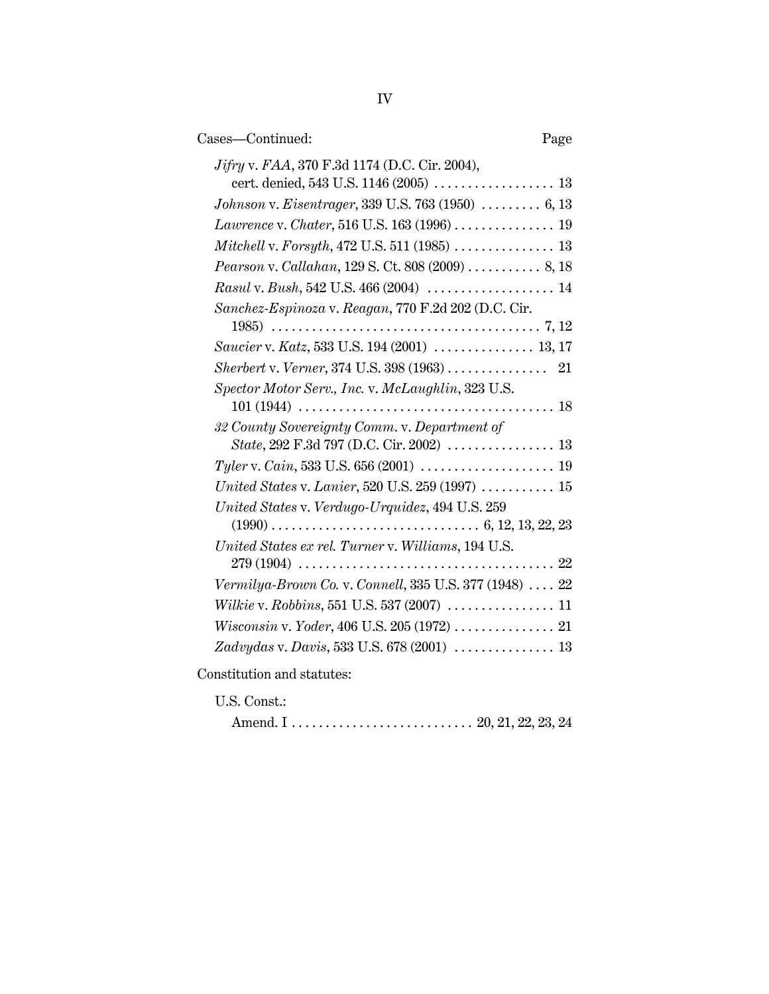| Cases-Continued:<br>Page                                                                                                                                  |
|-----------------------------------------------------------------------------------------------------------------------------------------------------------|
| <i>Jifry v. FAA</i> , 370 F.3d 1174 (D.C. Cir. 2004),                                                                                                     |
|                                                                                                                                                           |
| Johnson v. Eisentrager, 339 U.S. 763 (1950)  6, 13                                                                                                        |
| <i>Lawrence</i> v. <i>Chater</i> , 516 U.S. 163 (1996) 19                                                                                                 |
|                                                                                                                                                           |
| <i>Pearson v. Callahan, 129 S. Ct. 808 (2009) </i> 8, 18                                                                                                  |
|                                                                                                                                                           |
| Sanchez-Espinoza v. Reagan, 770 F.2d 202 (D.C. Cir.                                                                                                       |
|                                                                                                                                                           |
| Saucier v. Katz, 533 U.S. 194 (2001)  13, 17                                                                                                              |
|                                                                                                                                                           |
| Spector Motor Serv., Inc. v. McLaughlin, 323 U.S.                                                                                                         |
| 32 County Sovereignty Comm. v. Department of                                                                                                              |
|                                                                                                                                                           |
| United States v. Lanier, 520 U.S. 259 (1997) $\ldots$ 15                                                                                                  |
| United States v. Verdugo-Urquidez, 494 U.S. 259                                                                                                           |
| United States ex rel. Turner v. Williams, 194 U.S.<br>$279\,(1904)\,\,\ldots\ldots\ldots\ldots\ldots\ldots\ldots\ldots\ldots\ldots\ldots\ldots\ldots\,22$ |
| Vermilya-Brown Co. v. Connell, 335 U.S. 377 (1948)  22                                                                                                    |
|                                                                                                                                                           |
|                                                                                                                                                           |
|                                                                                                                                                           |
| Constitution and statutes:                                                                                                                                |

U.S. Const.:

Amend. I . . . . . . . . . . . . . . . . . . . . . . . . . . . 20, 21, 22, 23, 24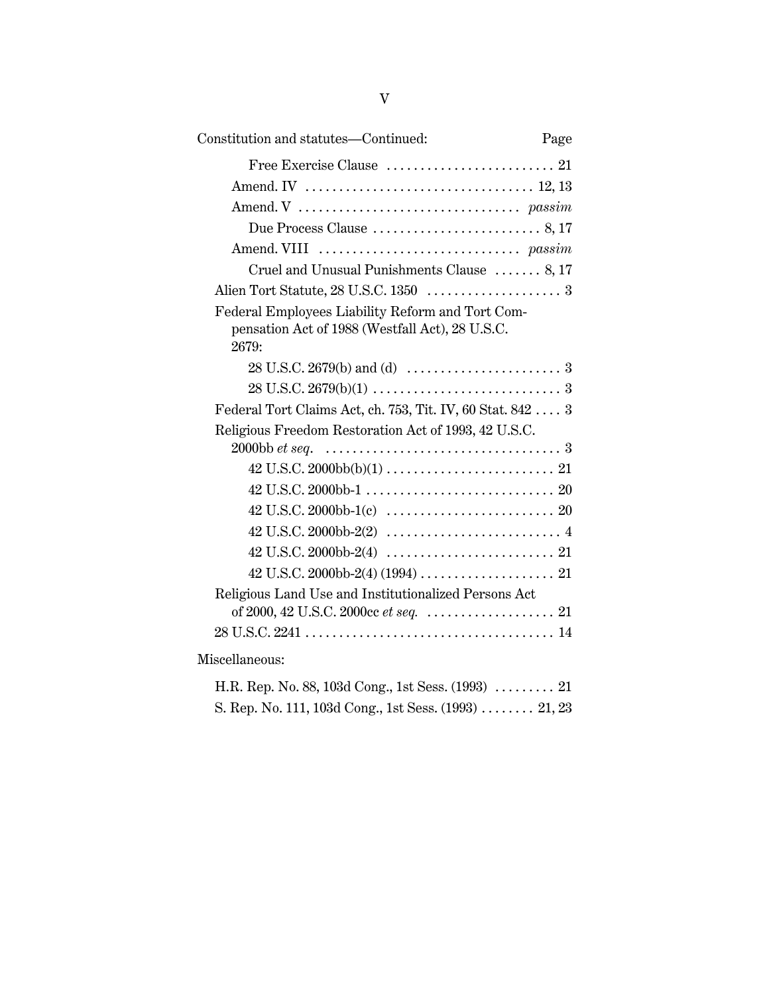| Constitution and statutes—Continued:                                                                         | Page |
|--------------------------------------------------------------------------------------------------------------|------|
|                                                                                                              |      |
|                                                                                                              |      |
|                                                                                                              |      |
|                                                                                                              |      |
|                                                                                                              |      |
| Cruel and Unusual Punishments Clause  8, 17                                                                  |      |
|                                                                                                              |      |
| Federal Employees Liability Reform and Tort Com-<br>pensation Act of 1988 (Westfall Act), 28 U.S.C.<br>2679: |      |
|                                                                                                              |      |
|                                                                                                              |      |
| Federal Tort Claims Act, ch. 753, Tit. IV, 60 Stat. 842  3                                                   |      |
| Religious Freedom Restoration Act of 1993, 42 U.S.C.                                                         |      |
|                                                                                                              |      |
|                                                                                                              |      |
| $42 \text{ U.S.C. } 2000 \text{ bb-1(c)} \dots \dots \dots \dots \dots \dots \dots \dots \dots \dots 20$     |      |
|                                                                                                              |      |
|                                                                                                              |      |
|                                                                                                              |      |
| Religious Land Use and Institutionalized Persons Act                                                         |      |
|                                                                                                              |      |
|                                                                                                              |      |
| Miscellaneous:                                                                                               |      |
| H.R. Rep. No. 88, 103d Cong., 1st Sess. $(1993)$ 21                                                          |      |

S. Rep. No. 111, 103d Cong., 1st Sess. (1993) . . . . . . . . 21, 23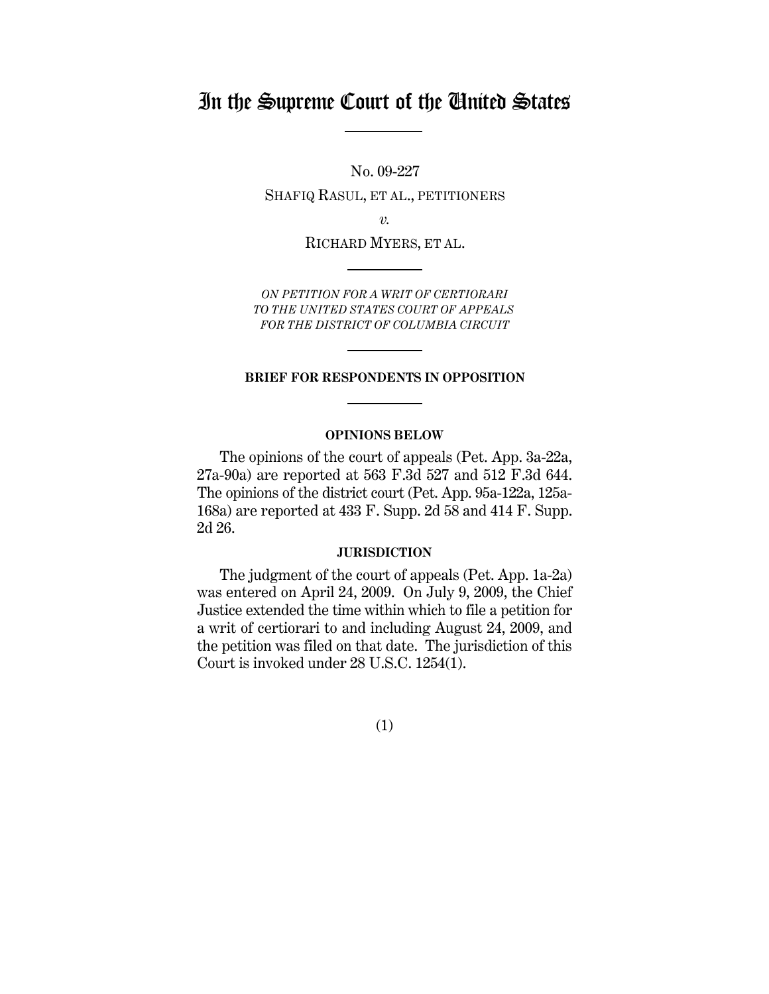## In the Supreme Court of the United States

No. 09-227

SHAFIQ RASUL, ET AL., PETITIONERS

*v.*

RICHARD MYERS, ET AL.

*ON PETITION FOR A WRIT OF CERTIORARI TO THE UNITED STATES COURT OF APPEALS FOR THE DISTRICT OF COLUMBIA CIRCUIT*

#### **BRIEF FOR RESPONDENTS IN OPPOSITION**

### **OPINIONS BELOW**

The opinions of the court of appeals (Pet. App. 3a-22a, 27a-90a) are reported at 563 F.3d 527 and 512 F.3d 644. The opinions of the district court (Pet. App. 95a-122a, 125a-168a) are reported at 433 F. Supp. 2d 58 and 414 F. Supp. 2d 26.

### **JURISDICTION**

The judgment of the court of appeals (Pet. App. 1a-2a) was entered on April 24, 2009. On July 9, 2009, the Chief Justice extended the time within which to file a petition for a writ of certiorari to and including August 24, 2009, and the petition was filed on that date. The jurisdiction of this Court is invoked under 28 U.S.C. 1254(1).

(1)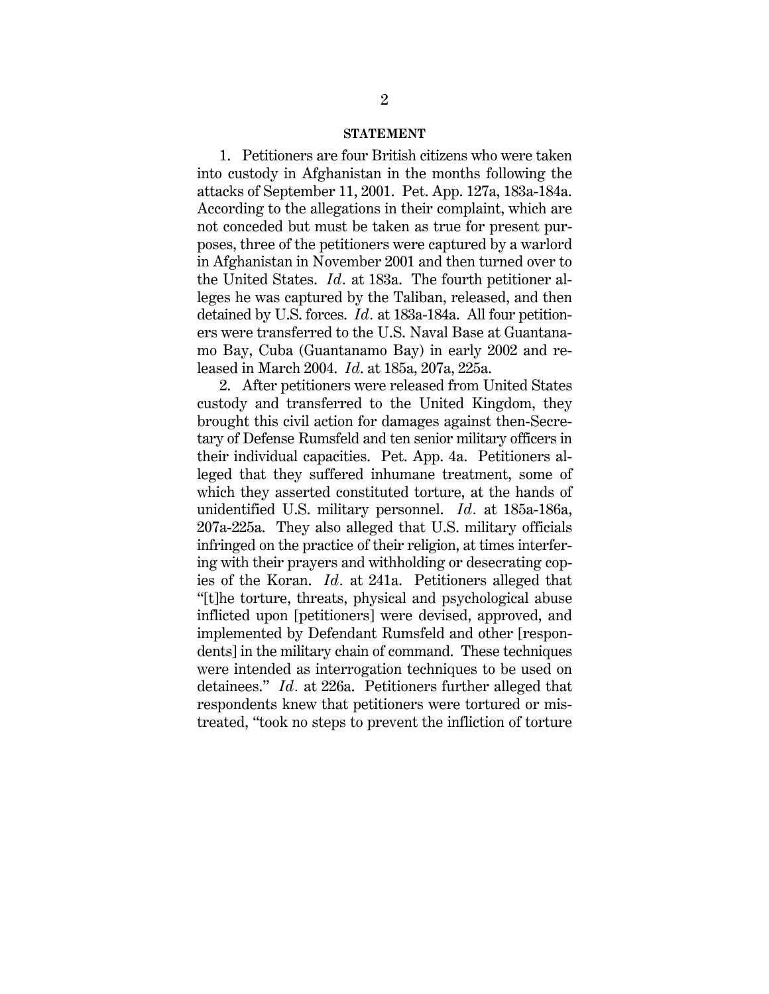### **STATEMENT**

1. Petitioners are four British citizens who were taken into custody in Afghanistan in the months following the attacks of September 11, 2001. Pet. App. 127a, 183a-184a. According to the allegations in their complaint, which are not conceded but must be taken as true for present purposes, three of the petitioners were captured by a warlord in Afghanistan in November 2001 and then turned over to the United States. *Id.* at 183a. The fourth petitioner alleges he was captured by the Taliban, released, and then detained by U.S. forces. *Id.* at 183a-184a. All four petitioners were transferred to the U.S. Naval Base at Guantanamo Bay, Cuba (Guantanamo Bay) in early 2002 and released in March 2004. *Id*. at 185a, 207a, 225a.

2. After petitioners were released from United States custody and transferred to the United Kingdom, they brought this civil action for damages against then-Secretary of Defense Rumsfeld and ten senior military officers in their individual capacities. Pet. App. 4a. Petitioners alleged that they suffered inhumane treatment, some of which they asserted constituted torture, at the hands of unidentified U.S. military personnel. *Id.* at 185a-186a, 207a-225a. They also alleged that U.S. military officials infringed on the practice of their religion, at times interfering with their prayers and withholding or desecrating copies of the Koran. *Id.* at 241a. Petitioners alleged that "[t]he torture, threats, physical and psychological abuse inflicted upon [petitioners] were devised, approved, and implemented by Defendant Rumsfeld and other [respondents] in the military chain of command. These techniques were intended as interrogation techniques to be used on detainees." *Id.* at 226a. Petitioners further alleged that respondents knew that petitioners were tortured or mistreated, "took no steps to prevent the infliction of torture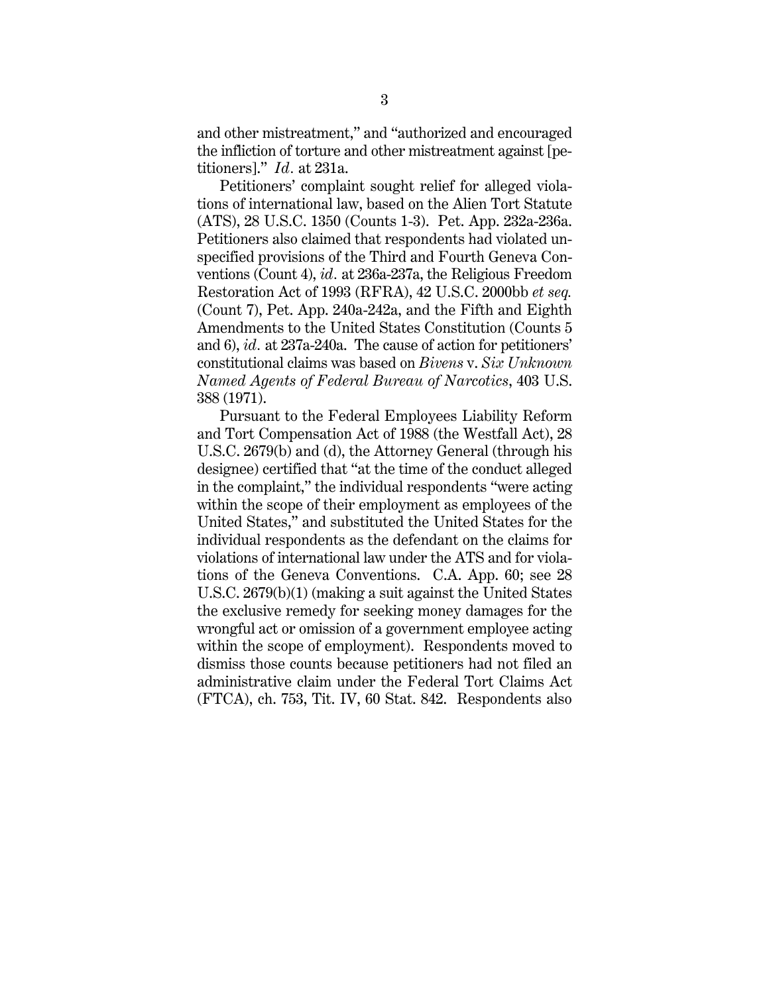and other mistreatment," and "authorized and encouraged the infliction of torture and other mistreatment against [petitioners]." *Id.* at 231a.

Petitioners' complaint sought relief for alleged violations of international law, based on the Alien Tort Statute (ATS), 28 U.S.C. 1350 (Counts 1-3). Pet. App. 232a-236a. Petitioners also claimed that respondents had violated unspecified provisions of the Third and Fourth Geneva Conventions (Count 4), *id.* at 236a-237a, the Religious Freedom Restoration Act of 1993 (RFRA), 42 U.S.C. 2000bb *et seq.* (Count 7), Pet. App. 240a-242a, and the Fifth and Eighth Amendments to the United States Constitution (Counts 5 and 6), *id.* at 237a-240a. The cause of action for petitioners' constitutional claims was based on *Bivens* v. *Six Unknown Named Agents of Federal Bureau of Narcotics*, 403 U.S. 388 (1971).

Pursuant to the Federal Employees Liability Reform and Tort Compensation Act of 1988 (the Westfall Act), 28 U.S.C. 2679(b) and (d), the Attorney General (through his designee) certified that "at the time of the conduct alleged in the complaint," the individual respondents "were acting within the scope of their employment as employees of the United States," and substituted the United States for the individual respondents as the defendant on the claims for violations of international law under the ATS and for violations of the Geneva Conventions. C.A. App. 60; see 28 U.S.C. 2679(b)(1) (making a suit against the United States the exclusive remedy for seeking money damages for the wrongful act or omission of a government employee acting within the scope of employment). Respondents moved to dismiss those counts because petitioners had not filed an administrative claim under the Federal Tort Claims Act (FTCA), ch. 753, Tit. IV, 60 Stat. 842. Respondents also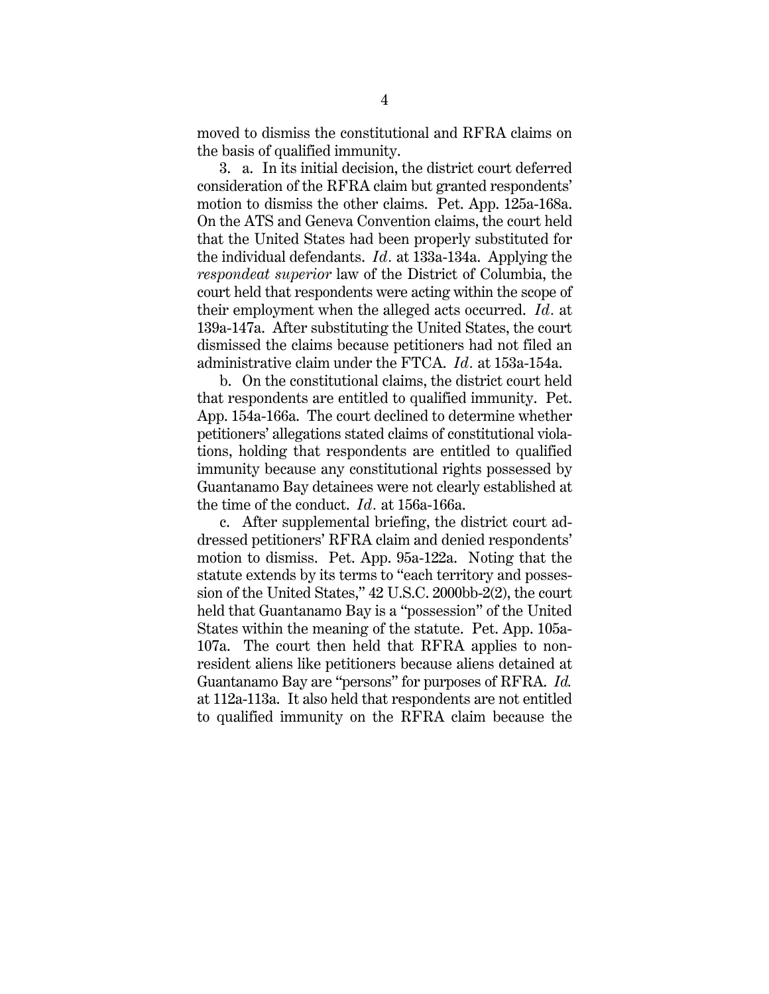moved to dismiss the constitutional and RFRA claims on the basis of qualified immunity.

3. a. In its initial decision, the district court deferred consideration of the RFRA claim but granted respondents' motion to dismiss the other claims. Pet. App. 125a-168a. On the ATS and Geneva Convention claims, the court held that the United States had been properly substituted for the individual defendants. *Id.* at 133a-134a. Applying the *respondeat superior* law of the District of Columbia, the court held that respondents were acting within the scope of their employment when the alleged acts occurred. *Id.* at 139a-147a. After substituting the United States, the court dismissed the claims because petitioners had not filed an administrative claim under the FTCA. *Id.* at 153a-154a.

b. On the constitutional claims, the district court held that respondents are entitled to qualified immunity. Pet. App. 154a-166a. The court declined to determine whether petitioners' allegations stated claims of constitutional violations, holding that respondents are entitled to qualified immunity because any constitutional rights possessed by Guantanamo Bay detainees were not clearly established at the time of the conduct. *Id.* at 156a-166a.

c. After supplemental briefing, the district court addressed petitioners' RFRA claim and denied respondents' motion to dismiss. Pet. App. 95a-122a. Noting that the statute extends by its terms to "each territory and possession of the United States," 42 U.S.C. 2000bb-2(2), the court held that Guantanamo Bay is a "possession" of the United States within the meaning of the statute. Pet. App. 105a-107a. The court then held that RFRA applies to nonresident aliens like petitioners because aliens detained at Guantanamo Bay are "persons" for purposes of RFRA. *Id.* at 112a-113a. It also held that respondents are not entitled to qualified immunity on the RFRA claim because the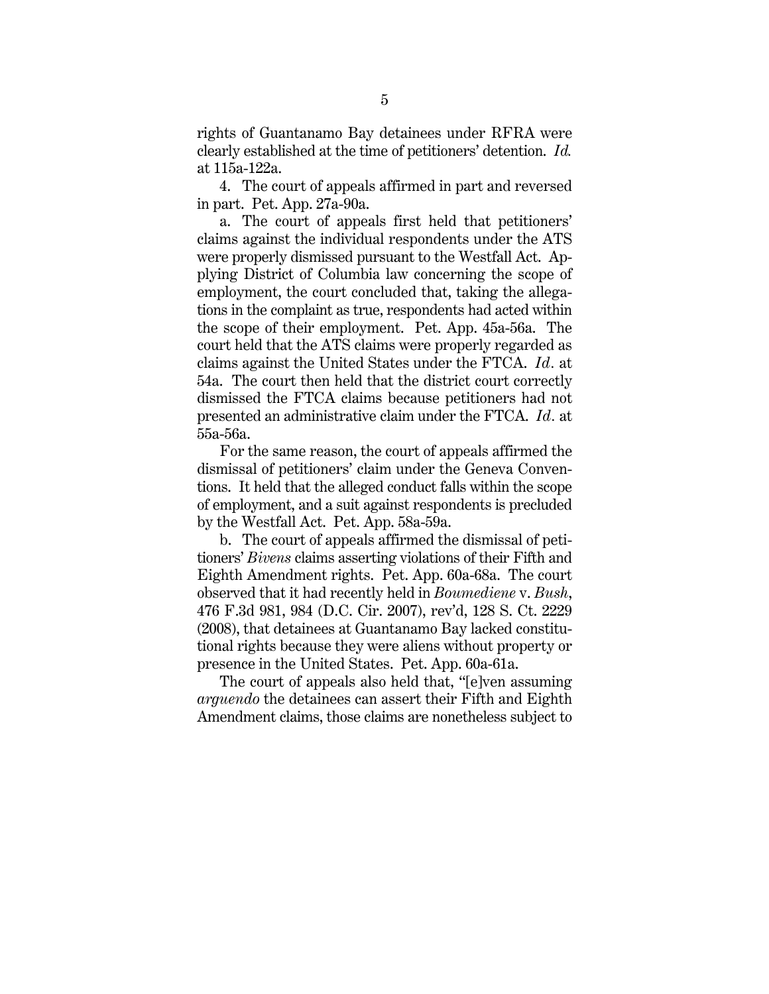rights of Guantanamo Bay detainees under RFRA were clearly established at the time of petitioners' detention. *Id.* at 115a-122a.

4. The court of appeals affirmed in part and reversed in part. Pet. App. 27a-90a.

a. The court of appeals first held that petitioners' claims against the individual respondents under the ATS were properly dismissed pursuant to the Westfall Act. Applying District of Columbia law concerning the scope of employment, the court concluded that, taking the allegations in the complaint as true, respondents had acted within the scope of their employment. Pet. App. 45a-56a. The court held that the ATS claims were properly regarded as claims against the United States under the FTCA. *Id.* at 54a. The court then held that the district court correctly dismissed the FTCA claims because petitioners had not presented an administrative claim under the FTCA. *Id.* at 55a-56a.

For the same reason, the court of appeals affirmed the dismissal of petitioners' claim under the Geneva Conventions. It held that the alleged conduct falls within the scope of employment, and a suit against respondents is precluded by the Westfall Act. Pet. App. 58a-59a.

b. The court of appeals affirmed the dismissal of petitioners' *Bivens* claims asserting violations of their Fifth and Eighth Amendment rights. Pet. App. 60a-68a. The court observed that it had recently held in *Boumediene* v. *Bush*, 476 F.3d 981, 984 (D.C. Cir. 2007), rev'd, 128 S. Ct. 2229 (2008), that detainees at Guantanamo Bay lacked constitutional rights because they were aliens without property or presence in the United States. Pet. App. 60a-61a.

The court of appeals also held that, "[e]ven assuming *arguendo* the detainees can assert their Fifth and Eighth Amendment claims, those claims are nonetheless subject to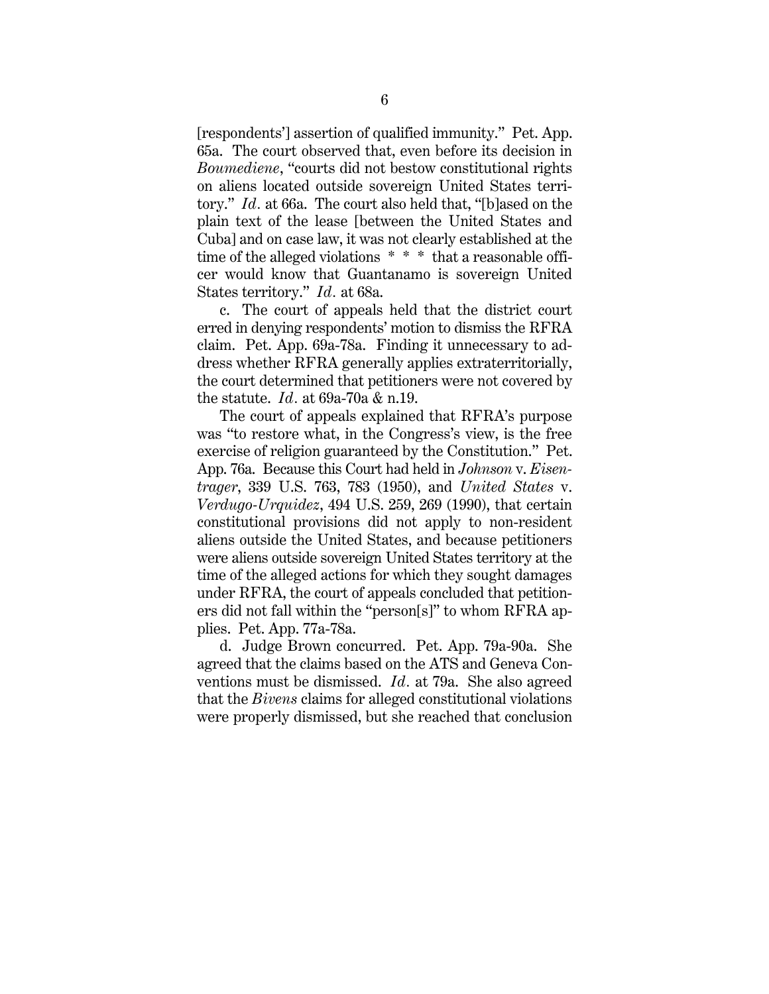[respondents'] assertion of qualified immunity." Pet. App. 65a. The court observed that, even before its decision in *Boumediene*, "courts did not bestow constitutional rights on aliens located outside sovereign United States territory." *Id.* at 66a. The court also held that, "[b]ased on the plain text of the lease [between the United States and Cuba] and on case law, it was not clearly established at the time of the alleged violations \* \* \* that a reasonable officer would know that Guantanamo is sovereign United States territory." *Id.* at 68a.

c. The court of appeals held that the district court erred in denying respondents' motion to dismiss the RFRA claim. Pet. App. 69a-78a. Finding it unnecessary to address whether RFRA generally applies extraterritorially, the court determined that petitioners were not covered by the statute. *Id.* at 69a-70a & n.19.

The court of appeals explained that RFRA's purpose was "to restore what, in the Congress's view, is the free exercise of religion guaranteed by the Constitution." Pet. App. 76a. Because this Court had held in *Johnson* v. *Eisentrager*, 339 U.S. 763, 783 (1950), and *United States* v. *Verdugo-Urquidez*, 494 U.S. 259, 269 (1990), that certain constitutional provisions did not apply to non-resident aliens outside the United States, and because petitioners were aliens outside sovereign United States territory at the time of the alleged actions for which they sought damages under RFRA, the court of appeals concluded that petitioners did not fall within the "person[s]" to whom RFRA applies. Pet. App. 77a-78a.

d. Judge Brown concurred. Pet. App. 79a-90a. She agreed that the claims based on the ATS and Geneva Conventions must be dismissed. *Id.* at 79a. She also agreed that the *Bivens* claims for alleged constitutional violations were properly dismissed, but she reached that conclusion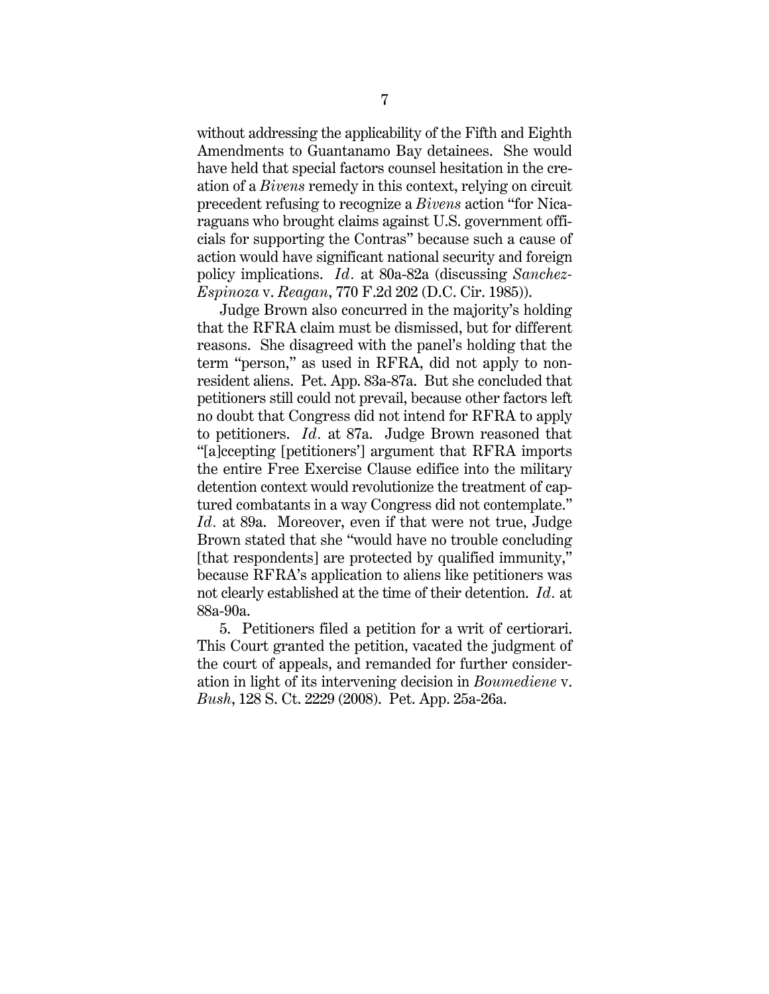without addressing the applicability of the Fifth and Eighth Amendments to Guantanamo Bay detainees. She would have held that special factors counsel hesitation in the creation of a *Bivens* remedy in this context, relying on circuit precedent refusing to recognize a *Bivens* action "for Nicaraguans who brought claims against U.S. government officials for supporting the Contras" because such a cause of action would have significant national security and foreign policy implications. *Id.* at 80a-82a (discussing *Sanchez-Espinoza* v. *Reagan*, 770 F.2d 202 (D.C. Cir. 1985)).

Judge Brown also concurred in the majority's holding that the RFRA claim must be dismissed, but for different reasons. She disagreed with the panel's holding that the term "person," as used in RFRA, did not apply to nonresident aliens. Pet. App. 83a-87a. But she concluded that petitioners still could not prevail, because other factors left no doubt that Congress did not intend for RFRA to apply to petitioners. *Id.* at 87a. Judge Brown reasoned that "[a]ccepting [petitioners'] argument that RFRA imports the entire Free Exercise Clause edifice into the military detention context would revolutionize the treatment of captured combatants in a way Congress did not contemplate." *Id.* at 89a. Moreover, even if that were not true, Judge Brown stated that she "would have no trouble concluding [that respondents] are protected by qualified immunity," because RFRA's application to aliens like petitioners was not clearly established at the time of their detention. *Id.* at 88a-90a.

5. Petitioners filed a petition for a writ of certiorari. This Court granted the petition, vacated the judgment of the court of appeals, and remanded for further consideration in light of its intervening decision in *Boumediene* v. *Bush*, 128 S. Ct. 2229 (2008). Pet. App. 25a-26a.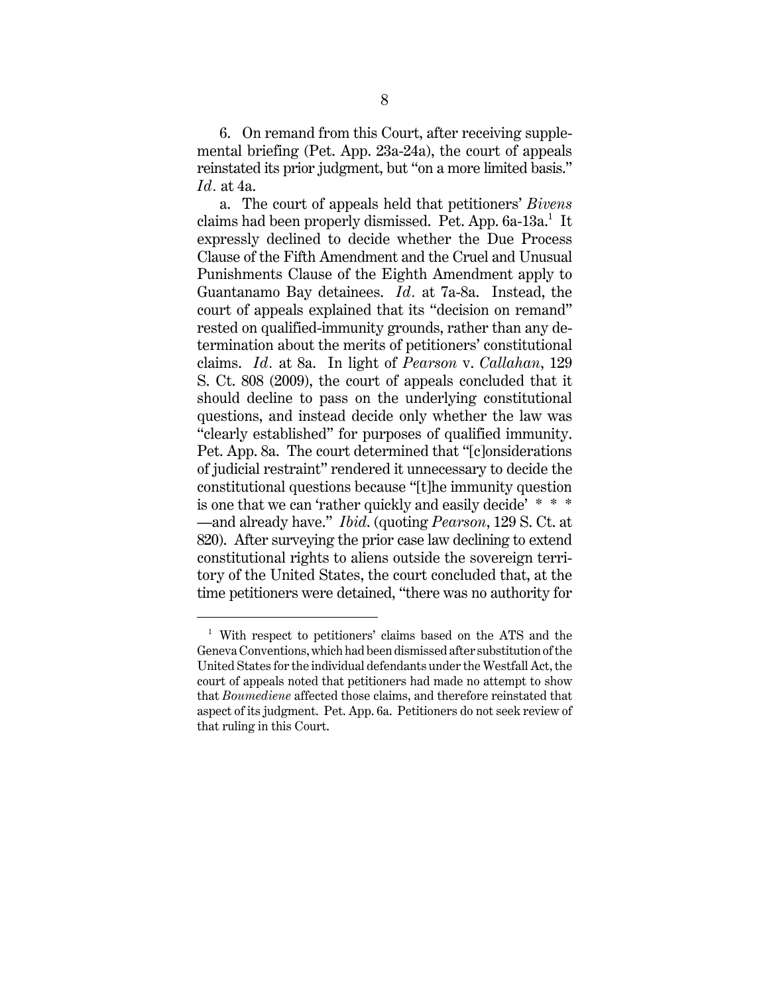6. On remand from this Court, after receiving supplemental briefing (Pet. App. 23a-24a), the court of appeals reinstated its prior judgment, but "on a more limited basis." *Id.* at 4a.

a. The court of appeals held that petitioners' *Bivens* claims had been properly dismissed. Pet. App. 6a-13a.<sup>1</sup> It expressly declined to decide whether the Due Process Clause of the Fifth Amendment and the Cruel and Unusual Punishments Clause of the Eighth Amendment apply to Guantanamo Bay detainees. *Id.* at 7a-8a. Instead, the court of appeals explained that its "decision on remand" rested on qualified-immunity grounds, rather than any determination about the merits of petitioners' constitutional claims. *Id.* at 8a. In light of *Pearson* v. *Callahan*, 129 S. Ct. 808 (2009), the court of appeals concluded that it should decline to pass on the underlying constitutional questions, and instead decide only whether the law was "clearly established" for purposes of qualified immunity. Pet. App. 8a. The court determined that "[c]onsiderations of judicial restraint" rendered it unnecessary to decide the constitutional questions because "[t]he immunity question is one that we can 'rather quickly and easily decide' \* \* \* —and already have." *Ibid*. (quoting *Pearson*, 129 S. Ct. at 820). After surveying the prior case law declining to extend constitutional rights to aliens outside the sovereign territory of the United States, the court concluded that, at the time petitioners were detained, "there was no authority for

<sup>1</sup> With respect to petitioners' claims based on the ATS and the Geneva Conventions, which had been dismissed after substitution of the United States for the individual defendants under the Westfall Act, the court of appeals noted that petitioners had made no attempt to show that *Boumediene* affected those claims, and therefore reinstated that aspect of its judgment. Pet. App. 6a. Petitioners do not seek review of that ruling in this Court.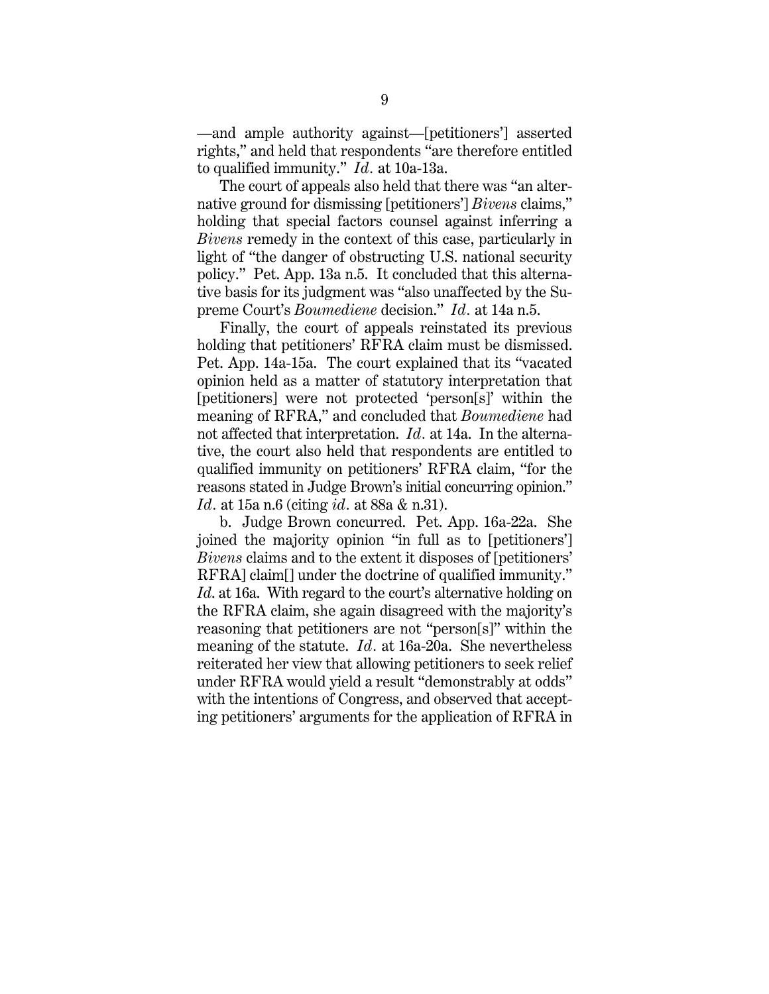—and ample authority against—[petitioners'] asserted rights," and held that respondents "are therefore entitled to qualified immunity." *Id.* at 10a-13a.

The court of appeals also held that there was "an alternative ground for dismissing [petitioners'] *Bivens* claims," holding that special factors counsel against inferring a *Bivens* remedy in the context of this case, particularly in light of "the danger of obstructing U.S. national security policy." Pet. App. 13a n.5. It concluded that this alternative basis for its judgment was "also unaffected by the Supreme Court's *Boumediene* decision." *Id.* at 14a n.5.

Finally, the court of appeals reinstated its previous holding that petitioners' RFRA claim must be dismissed. Pet. App. 14a-15a. The court explained that its "vacated opinion held as a matter of statutory interpretation that [petitioners] were not protected 'person[s]' within the meaning of RFRA," and concluded that *Boumediene* had not affected that interpretation. *Id.* at 14a. In the alternative, the court also held that respondents are entitled to qualified immunity on petitioners' RFRA claim, "for the reasons stated in Judge Brown's initial concurring opinion." *Id.* at 15a n.6 (citing *id.* at 88a & n.31).

b. Judge Brown concurred. Pet. App. 16a-22a. She joined the majority opinion "in full as to [petitioners'] *Bivens* claims and to the extent it disposes of [petitioners' RFRA] claim[] under the doctrine of qualified immunity." *Id*. at 16a. With regard to the court's alternative holding on the RFRA claim, she again disagreed with the majority's reasoning that petitioners are not "person[s]" within the meaning of the statute. *Id.* at 16a-20a. She nevertheless reiterated her view that allowing petitioners to seek relief under RFRA would yield a result "demonstrably at odds" with the intentions of Congress, and observed that accepting petitioners' arguments for the application of RFRA in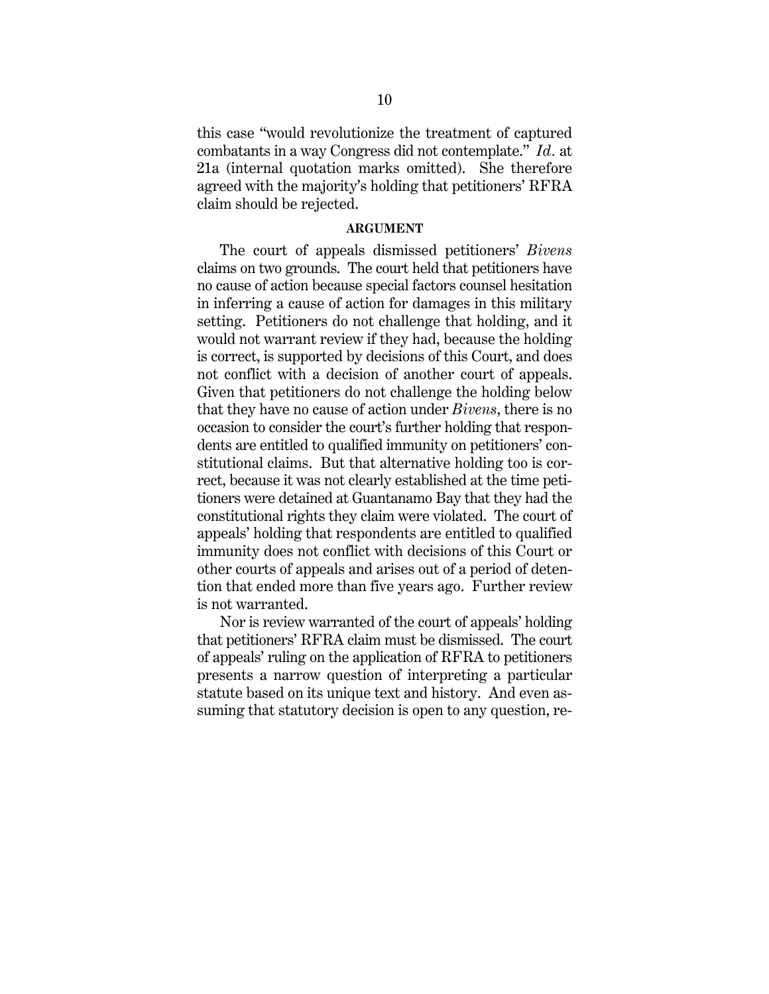this case "would revolutionize the treatment of captured combatants in a way Congress did not contemplate." *Id.* at 21a (internal quotation marks omitted). She therefore agreed with the majority's holding that petitioners' RFRA claim should be rejected.

### **ARGUMENT**

The court of appeals dismissed petitioners' *Bivens* claims on two grounds. The court held that petitioners have no cause of action because special factors counsel hesitation in inferring a cause of action for damages in this military setting. Petitioners do not challenge that holding, and it would not warrant review if they had, because the holding is correct, is supported by decisions of this Court, and does not conflict with a decision of another court of appeals. Given that petitioners do not challenge the holding below that they have no cause of action under *Bivens*, there is no occasion to consider the court's further holding that respondents are entitled to qualified immunity on petitioners' constitutional claims. But that alternative holding too is correct, because it was not clearly established at the time petitioners were detained at Guantanamo Bay that they had the constitutional rights they claim were violated. The court of appeals' holding that respondents are entitled to qualified immunity does not conflict with decisions of this Court or other courts of appeals and arises out of a period of detention that ended more than five years ago. Further review is not warranted.

Nor is review warranted of the court of appeals' holding that petitioners' RFRA claim must be dismissed. The court of appeals' ruling on the application of RFRA to petitioners presents a narrow question of interpreting a particular statute based on its unique text and history. And even assuming that statutory decision is open to any question, re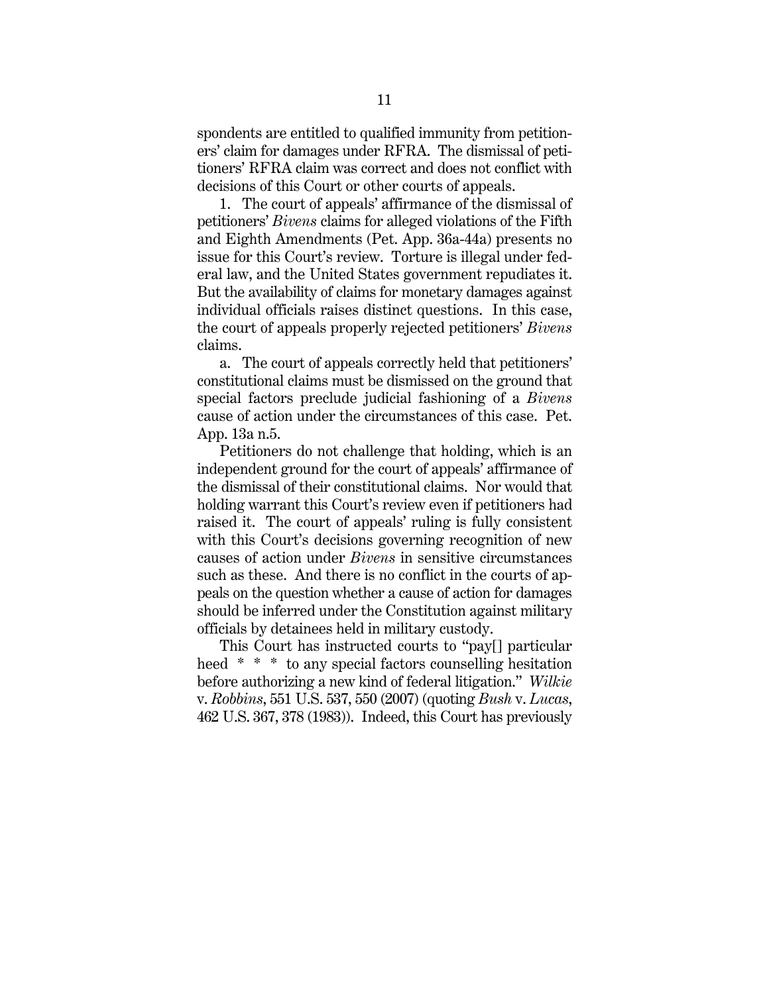spondents are entitled to qualified immunity from petitioners' claim for damages under RFRA. The dismissal of petitioners' RFRA claim was correct and does not conflict with decisions of this Court or other courts of appeals.

1. The court of appeals' affirmance of the dismissal of petitioners' *Bivens* claims for alleged violations of the Fifth and Eighth Amendments (Pet. App. 36a-44a) presents no issue for this Court's review. Torture is illegal under federal law, and the United States government repudiates it. But the availability of claims for monetary damages against individual officials raises distinct questions. In this case, the court of appeals properly rejected petitioners' *Bivens* claims.

a. The court of appeals correctly held that petitioners' constitutional claims must be dismissed on the ground that special factors preclude judicial fashioning of a *Bivens* cause of action under the circumstances of this case. Pet. App. 13a n.5.

Petitioners do not challenge that holding, which is an independent ground for the court of appeals' affirmance of the dismissal of their constitutional claims. Nor would that holding warrant this Court's review even if petitioners had raised it. The court of appeals' ruling is fully consistent with this Court's decisions governing recognition of new causes of action under *Bivens* in sensitive circumstances such as these. And there is no conflict in the courts of appeals on the question whether a cause of action for damages should be inferred under the Constitution against military officials by detainees held in military custody.

This Court has instructed courts to "pay[] particular heed \* \* \* to any special factors counselling hesitation before authorizing a new kind of federal litigation." *Wilkie* v. *Robbins*, 551 U.S. 537, 550 (2007) (quoting *Bush* v. *Lucas*, 462 U.S. 367, 378 (1983)). Indeed, this Court has previously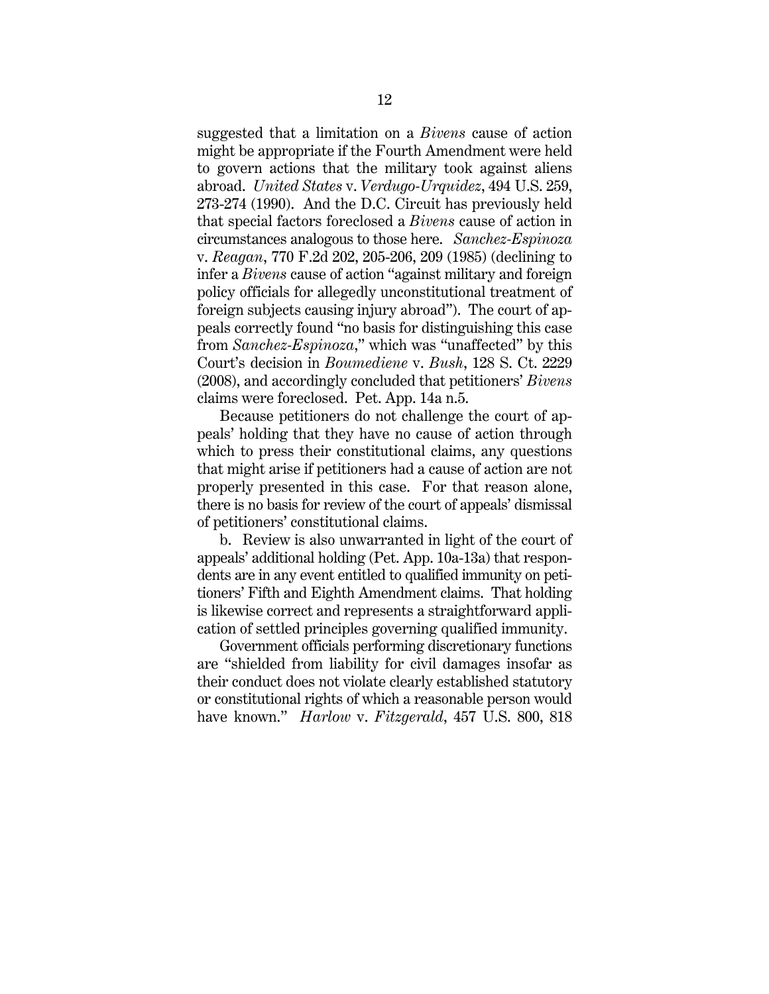suggested that a limitation on a *Bivens* cause of action might be appropriate if the Fourth Amendment were held to govern actions that the military took against aliens abroad. *United States* v. *Verdugo-Urquidez*, 494 U.S. 259, 273-274 (1990). And the D.C. Circuit has previously held that special factors foreclosed a *Bivens* cause of action in circumstances analogous to those here. *Sanchez-Espinoza* v. *Reagan*, 770 F.2d 202, 205-206, 209 (1985) (declining to infer a *Bivens* cause of action "against military and foreign policy officials for allegedly unconstitutional treatment of foreign subjects causing injury abroad"). The court of appeals correctly found "no basis for distinguishing this case from *Sanchez-Espinoza*," which was "unaffected" by this Court's decision in *Boumediene* v. *Bush*, 128 S. Ct. 2229 (2008), and accordingly concluded that petitioners' *Bivens* claims were foreclosed. Pet. App. 14a n.5.

Because petitioners do not challenge the court of appeals' holding that they have no cause of action through which to press their constitutional claims, any questions that might arise if petitioners had a cause of action are not properly presented in this case. For that reason alone, there is no basis for review of the court of appeals' dismissal of petitioners' constitutional claims.

b. Review is also unwarranted in light of the court of appeals' additional holding (Pet. App. 10a-13a) that respondents are in any event entitled to qualified immunity on petitioners' Fifth and Eighth Amendment claims. That holding is likewise correct and represents a straightforward application of settled principles governing qualified immunity.

Government officials performing discretionary functions are "shielded from liability for civil damages insofar as their conduct does not violate clearly established statutory or constitutional rights of which a reasonable person would have known." *Harlow* v. *Fitzgerald*, 457 U.S. 800, 818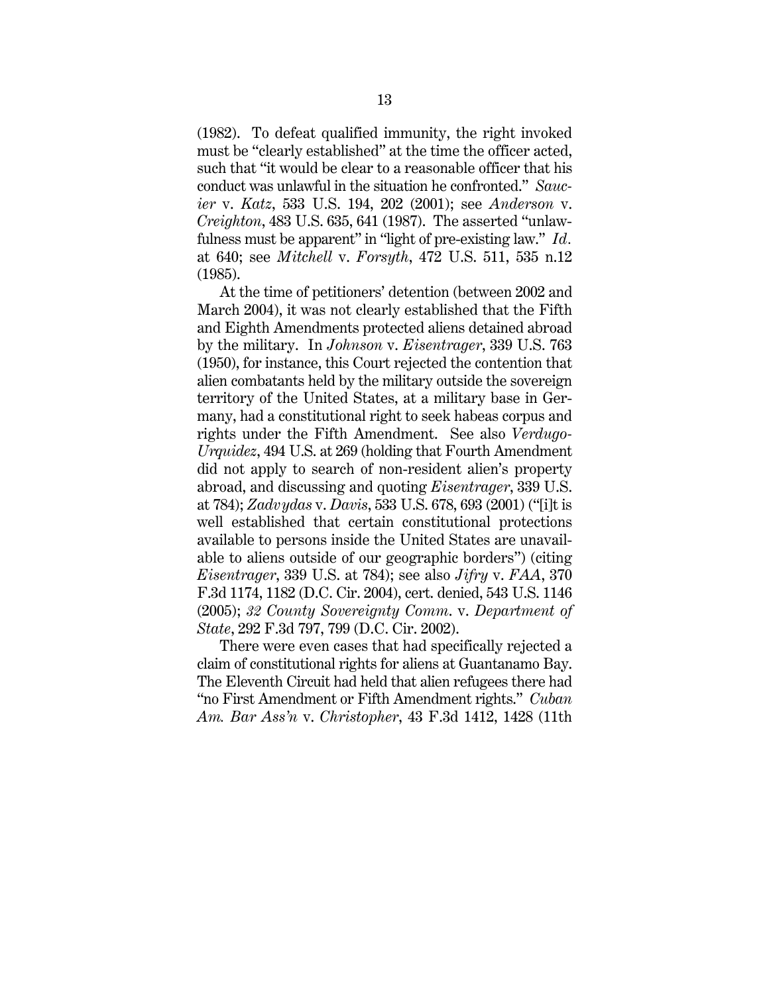(1982). To defeat qualified immunity, the right invoked must be "clearly established" at the time the officer acted, such that "it would be clear to a reasonable officer that his conduct was unlawful in the situation he confronted." *Saucier* v. *Katz*, 533 U.S. 194, 202 (2001); see *Anderson* v. *Creighton*, 483 U.S. 635, 641 (1987). The asserted "unlawfulness must be apparent" in "light of pre-existing law." *Id.* at 640; see *Mitchell* v. *Forsyth*, 472 U.S. 511, 535 n.12 (1985).

At the time of petitioners' detention (between 2002 and March 2004), it was not clearly established that the Fifth and Eighth Amendments protected aliens detained abroad by the military. In *Johnson* v. *Eisentrager*, 339 U.S. 763 (1950), for instance, this Court rejected the contention that alien combatants held by the military outside the sovereign territory of the United States, at a military base in Germany, had a constitutional right to seek habeas corpus and rights under the Fifth Amendment. See also *Verdugo-Urquidez*, 494 U.S. at 269 (holding that Fourth Amendment did not apply to search of non-resident alien's property abroad, and discussing and quoting *Eisentrager*, 339 U.S. at 784); *Zadvydas* v. *Davis*, 533 U.S. 678, 693 (2001) ("[i]t is well established that certain constitutional protections available to persons inside the United States are unavailable to aliens outside of our geographic borders") (citing *Eisentrager*, 339 U.S. at 784); see also *Jifry* v. *FAA*, 370 F.3d 1174, 1182 (D.C. Cir. 2004), cert. denied, 543 U.S. 1146 (2005); *32 County Sovereignty Comm*. v. *Department of State*, 292 F.3d 797, 799 (D.C. Cir. 2002).

There were even cases that had specifically rejected a claim of constitutional rights for aliens at Guantanamo Bay. The Eleventh Circuit had held that alien refugees there had "no First Amendment or Fifth Amendment rights." *Cuban Am. Bar Ass'n* v. *Christopher*, 43 F.3d 1412, 1428 (11th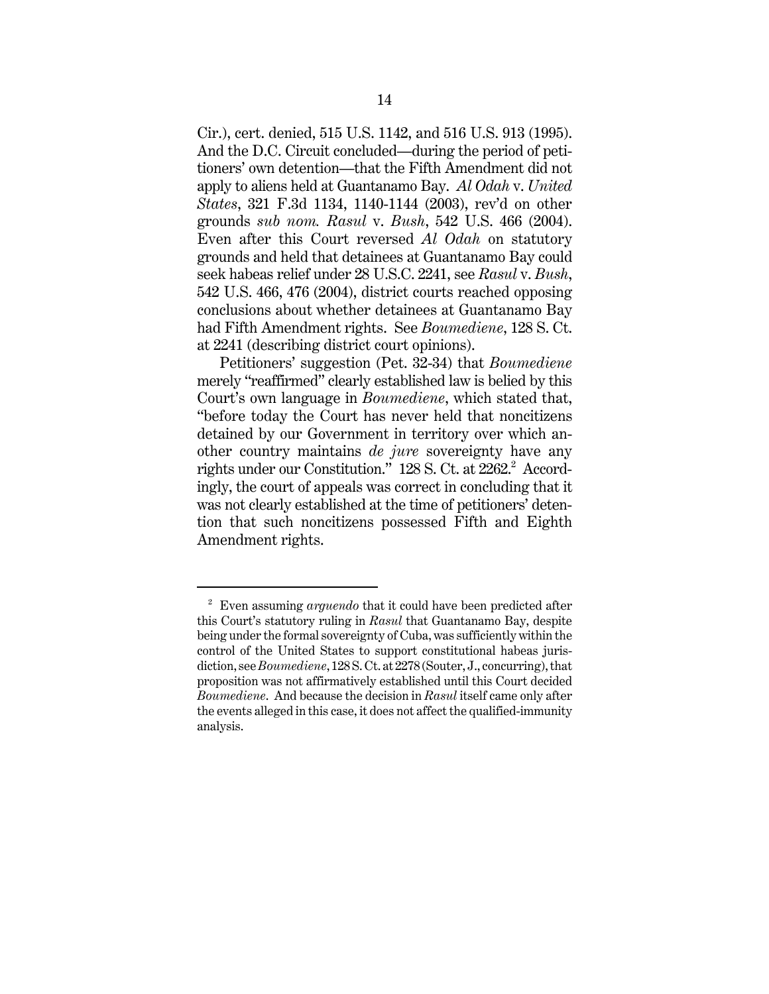Cir.), cert. denied, 515 U.S. 1142, and 516 U.S. 913 (1995). And the D.C. Circuit concluded—during the period of petitioners' own detention—that the Fifth Amendment did not apply to aliens held at Guantanamo Bay. *Al Odah* v. *United States*, 321 F.3d 1134, 1140-1144 (2003), rev'd on other grounds *sub nom. Rasul* v. *Bush*, 542 U.S. 466 (2004). Even after this Court reversed *Al Odah* on statutory grounds and held that detainees at Guantanamo Bay could seek habeas relief under 28 U.S.C. 2241, see *Rasul* v. *Bush*, 542 U.S. 466, 476 (2004), district courts reached opposing conclusions about whether detainees at Guantanamo Bay had Fifth Amendment rights. See *Boumediene*, 128 S. Ct. at 2241 (describing district court opinions).

Petitioners' suggestion (Pet. 32-34) that *Boumediene* merely "reaffirmed" clearly established law is belied by this Court's own language in *Boumediene*, which stated that, "before today the Court has never held that noncitizens detained by our Government in territory over which another country maintains *de jure* sovereignty have any rights under our Constitution." 128 S. Ct. at 2262.<sup>2</sup> Accordingly, the court of appeals was correct in concluding that it was not clearly established at the time of petitioners' detention that such noncitizens possessed Fifth and Eighth Amendment rights.

<sup>2</sup> Even assuming *arguendo* that it could have been predicted after this Court's statutory ruling in *Rasul* that Guantanamo Bay, despite being under the formal sovereignty of Cuba, was sufficiently within the control of the United States to support constitutional habeas jurisdiction, see *Boumediene*, 128 S. Ct. at 2278 (Souter, J., concurring), that proposition was not affirmatively established until this Court decided *Boumediene*. And because the decision in *Rasul* itself came only after the events alleged in this case, it does not affect the qualified-immunity analysis.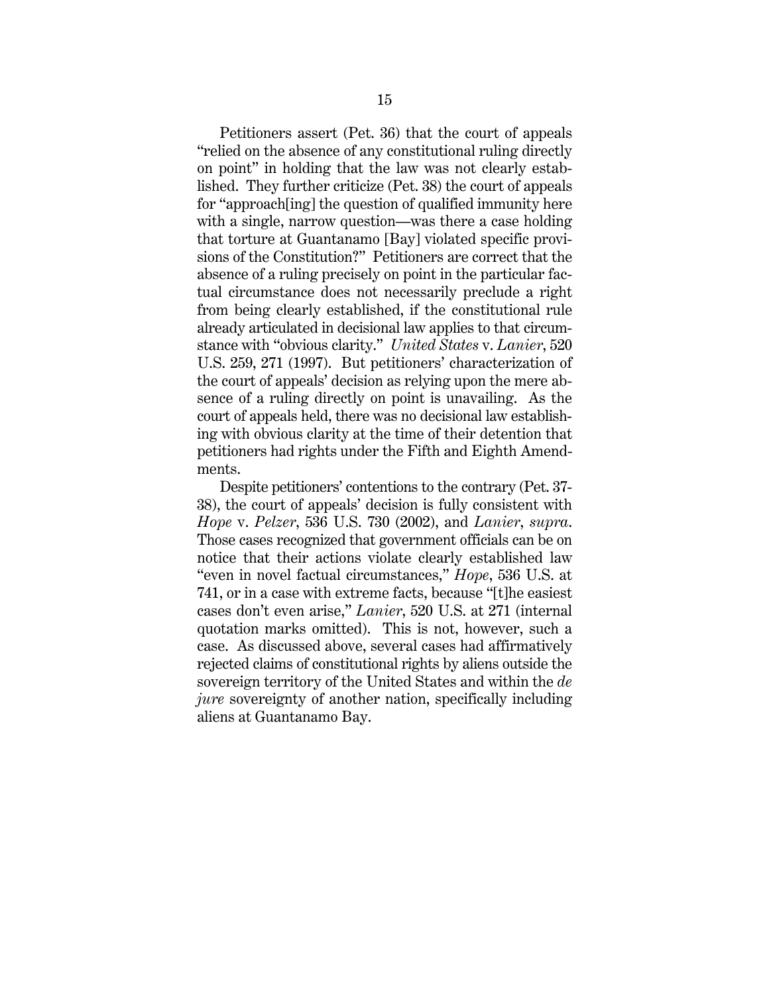Petitioners assert (Pet. 36) that the court of appeals "relied on the absence of any constitutional ruling directly on point" in holding that the law was not clearly established. They further criticize (Pet. 38) the court of appeals for "approach[ing] the question of qualified immunity here with a single, narrow question—was there a case holding that torture at Guantanamo [Bay] violated specific provisions of the Constitution?" Petitioners are correct that the absence of a ruling precisely on point in the particular factual circumstance does not necessarily preclude a right from being clearly established, if the constitutional rule already articulated in decisional law applies to that circumstance with "obvious clarity." *United States* v. *Lanier*, 520 U.S. 259, 271 (1997). But petitioners' characterization of the court of appeals' decision as relying upon the mere absence of a ruling directly on point is unavailing. As the court of appeals held, there was no decisional law establishing with obvious clarity at the time of their detention that petitioners had rights under the Fifth and Eighth Amendments.

Despite petitioners' contentions to the contrary (Pet. 37- 38), the court of appeals' decision is fully consistent with *Hope* v. *Pelzer*, 536 U.S. 730 (2002), and *Lanier*, *supra*. Those cases recognized that government officials can be on notice that their actions violate clearly established law "even in novel factual circumstances," *Hope*, 536 U.S. at 741, or in a case with extreme facts, because "[t]he easiest cases don't even arise," *Lanier*, 520 U.S. at 271 (internal quotation marks omitted). This is not, however, such a case. As discussed above, several cases had affirmatively rejected claims of constitutional rights by aliens outside the sovereign territory of the United States and within the *de jure* sovereignty of another nation, specifically including aliens at Guantanamo Bay.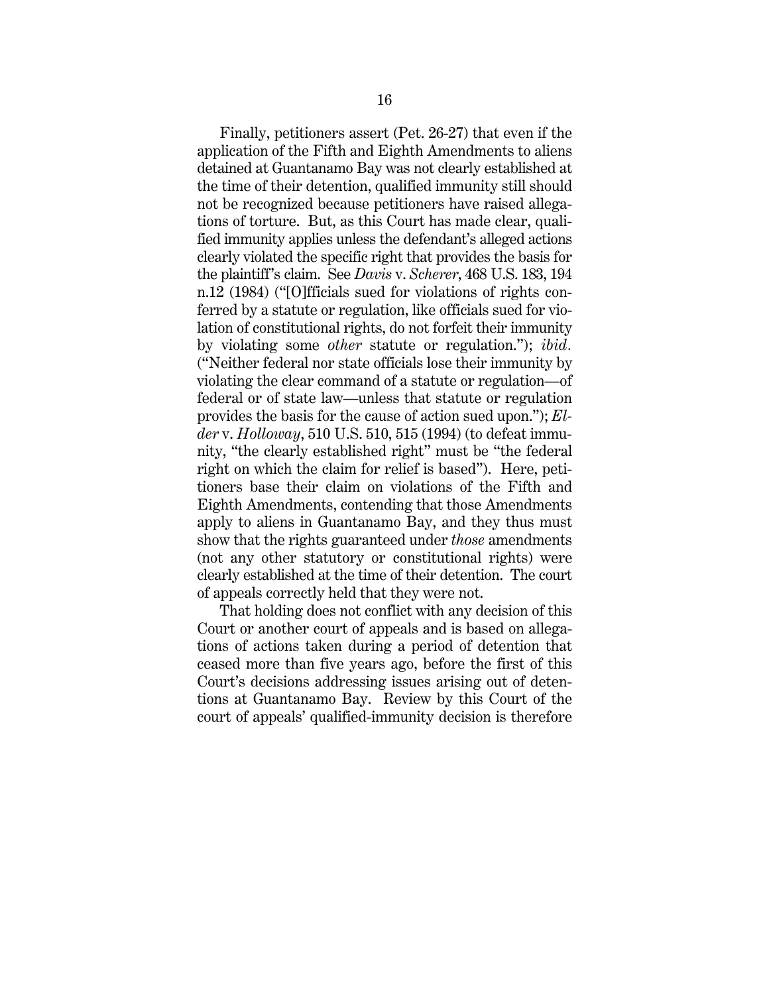Finally, petitioners assert (Pet. 26-27) that even if the application of the Fifth and Eighth Amendments to aliens detained at Guantanamo Bay was not clearly established at the time of their detention, qualified immunity still should not be recognized because petitioners have raised allegations of torture. But, as this Court has made clear, qualified immunity applies unless the defendant's alleged actions clearly violated the specific right that provides the basis for the plaintiff's claim. See *Davis* v. *Scherer*, 468 U.S. 183, 194 n.12 (1984) ("[O]fficials sued for violations of rights conferred by a statute or regulation, like officials sued for violation of constitutional rights, do not forfeit their immunity by violating some *other* statute or regulation."); *ibid.* ("Neither federal nor state officials lose their immunity by violating the clear command of a statute or regulation—of federal or of state law—unless that statute or regulation provides the basis for the cause of action sued upon."); *Elder* v. *Holloway*, 510 U.S. 510, 515 (1994) (to defeat immunity, "the clearly established right" must be "the federal right on which the claim for relief is based"). Here, petitioners base their claim on violations of the Fifth and Eighth Amendments, contending that those Amendments apply to aliens in Guantanamo Bay, and they thus must show that the rights guaranteed under *those* amendments (not any other statutory or constitutional rights) were clearly established at the time of their detention. The court of appeals correctly held that they were not.

That holding does not conflict with any decision of this Court or another court of appeals and is based on allegations of actions taken during a period of detention that ceased more than five years ago, before the first of this Court's decisions addressing issues arising out of detentions at Guantanamo Bay. Review by this Court of the court of appeals' qualified-immunity decision is therefore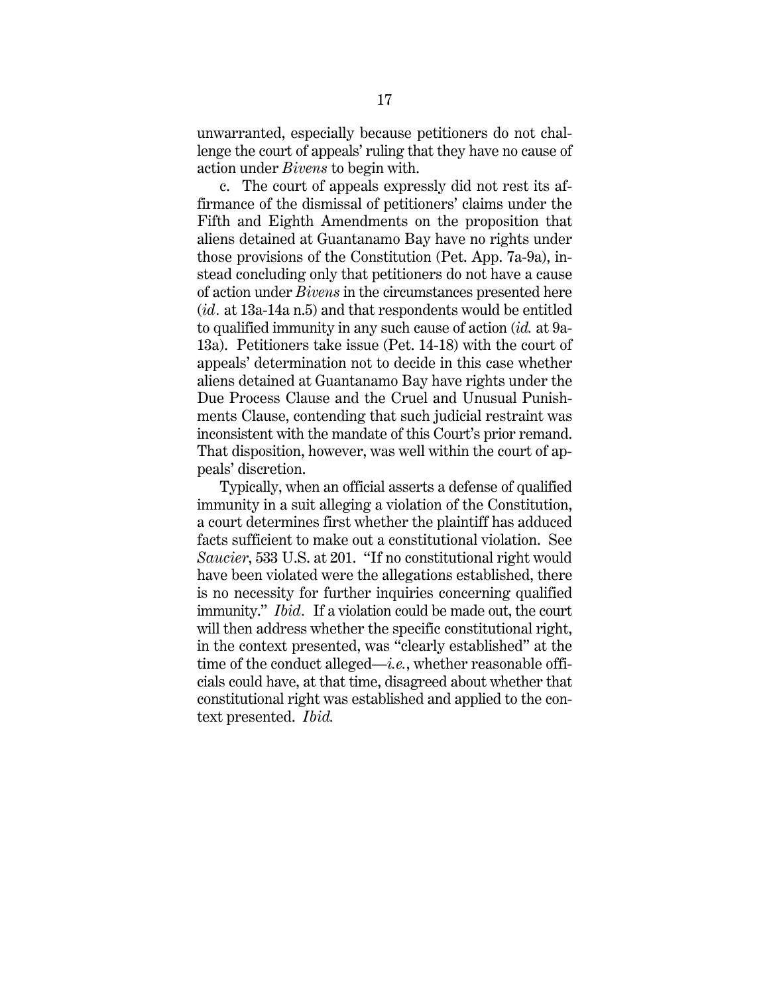unwarranted, especially because petitioners do not challenge the court of appeals' ruling that they have no cause of action under *Bivens* to begin with.

c. The court of appeals expressly did not rest its affirmance of the dismissal of petitioners' claims under the Fifth and Eighth Amendments on the proposition that aliens detained at Guantanamo Bay have no rights under those provisions of the Constitution (Pet. App. 7a-9a), instead concluding only that petitioners do not have a cause of action under *Bivens* in the circumstances presented here (*id.* at 13a-14a n.5) and that respondents would be entitled to qualified immunity in any such cause of action (*id.* at 9a-13a). Petitioners take issue (Pet. 14-18) with the court of appeals' determination not to decide in this case whether aliens detained at Guantanamo Bay have rights under the Due Process Clause and the Cruel and Unusual Punishments Clause, contending that such judicial restraint was inconsistent with the mandate of this Court's prior remand. That disposition, however, was well within the court of appeals' discretion.

Typically, when an official asserts a defense of qualified immunity in a suit alleging a violation of the Constitution, a court determines first whether the plaintiff has adduced facts sufficient to make out a constitutional violation. See *Saucier*, 533 U.S. at 201. "If no constitutional right would have been violated were the allegations established, there is no necessity for further inquiries concerning qualified immunity." *Ibid.* If a violation could be made out, the court will then address whether the specific constitutional right, in the context presented, was "clearly established" at the time of the conduct alleged—*i.e.*, whether reasonable officials could have, at that time, disagreed about whether that constitutional right was established and applied to the context presented. *Ibid.*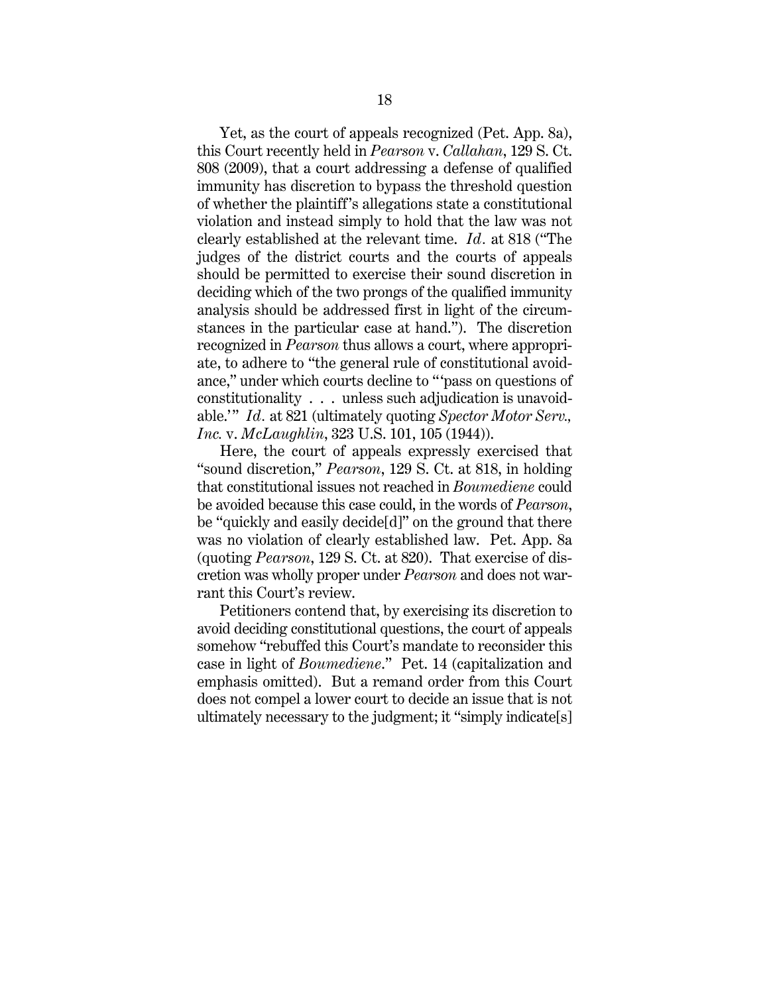Yet, as the court of appeals recognized (Pet. App. 8a), this Court recently held in *Pearson* v. *Callahan*, 129 S. Ct. 808 (2009), that a court addressing a defense of qualified immunity has discretion to bypass the threshold question of whether the plaintiff's allegations state a constitutional violation and instead simply to hold that the law was not clearly established at the relevant time. *Id.* at 818 ("The judges of the district courts and the courts of appeals should be permitted to exercise their sound discretion in deciding which of the two prongs of the qualified immunity analysis should be addressed first in light of the circumstances in the particular case at hand."). The discretion recognized in *Pearson* thus allows a court, where appropriate, to adhere to "the general rule of constitutional avoidance," under which courts decline to "'pass on questions of constitutionality . . . unless such adjudication is unavoidable.'" *Id.* at 821 (ultimately quoting *Spector Motor Serv., Inc.* v. *McLaughlin*, 323 U.S. 101, 105 (1944)).

Here, the court of appeals expressly exercised that "sound discretion," *Pearson*, 129 S. Ct. at 818, in holding that constitutional issues not reached in *Boumediene* could be avoided because this case could, in the words of *Pearson*, be "quickly and easily decide[d]" on the ground that there was no violation of clearly established law. Pet. App. 8a (quoting *Pearson*, 129 S. Ct. at 820). That exercise of discretion was wholly proper under *Pearson* and does not warrant this Court's review.

Petitioners contend that, by exercising its discretion to avoid deciding constitutional questions, the court of appeals somehow "rebuffed this Court's mandate to reconsider this case in light of *Boumediene*." Pet. 14 (capitalization and emphasis omitted). But a remand order from this Court does not compel a lower court to decide an issue that is not ultimately necessary to the judgment; it "simply indicate[s]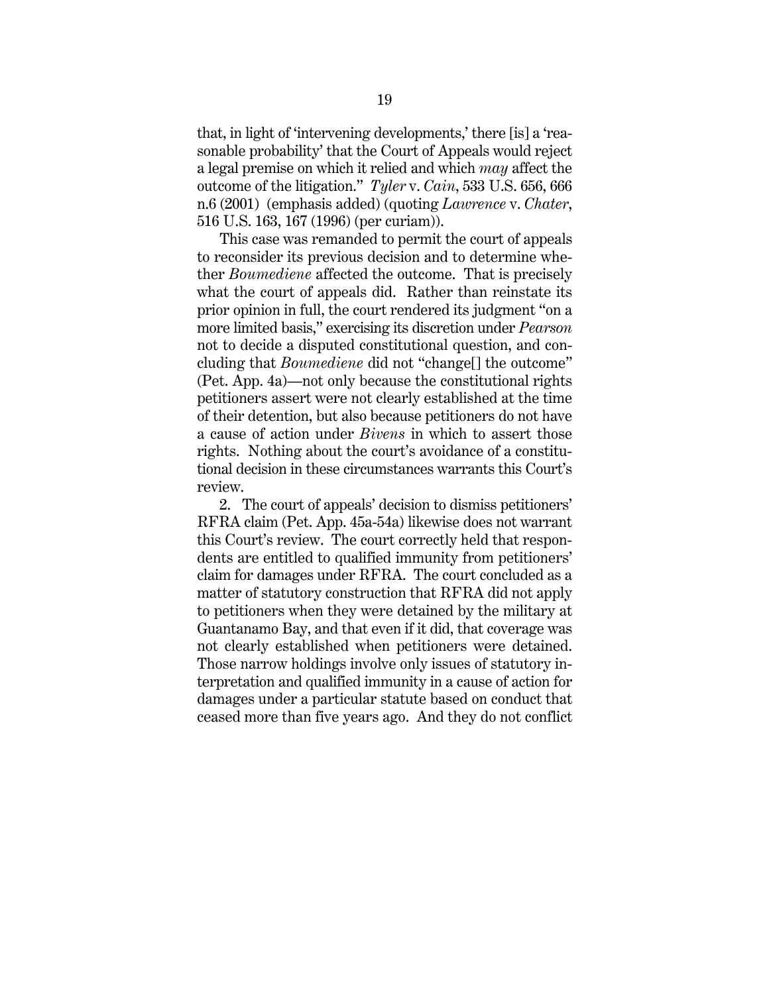that, in light of 'intervening developments,' there [is] a 'reasonable probability' that the Court of Appeals would reject a legal premise on which it relied and which *may* affect the outcome of the litigation." *Tyler* v. *Cain*, 533 U.S. 656, 666 n.6 (2001) (emphasis added) (quoting *Lawrence* v. *Chater*, 516 U.S. 163, 167 (1996) (per curiam)).

This case was remanded to permit the court of appeals to reconsider its previous decision and to determine whether *Boumediene* affected the outcome. That is precisely what the court of appeals did. Rather than reinstate its prior opinion in full, the court rendered its judgment "on a more limited basis," exercising its discretion under *Pearson* not to decide a disputed constitutional question, and concluding that *Boumediene* did not "change[] the outcome" (Pet. App. 4a)—not only because the constitutional rights petitioners assert were not clearly established at the time of their detention, but also because petitioners do not have a cause of action under *Bivens* in which to assert those rights. Nothing about the court's avoidance of a constitutional decision in these circumstances warrants this Court's review.

2. The court of appeals' decision to dismiss petitioners' RFRA claim (Pet. App. 45a-54a) likewise does not warrant this Court's review. The court correctly held that respondents are entitled to qualified immunity from petitioners' claim for damages under RFRA. The court concluded as a matter of statutory construction that RFRA did not apply to petitioners when they were detained by the military at Guantanamo Bay, and that even if it did, that coverage was not clearly established when petitioners were detained. Those narrow holdings involve only issues of statutory interpretation and qualified immunity in a cause of action for damages under a particular statute based on conduct that ceased more than five years ago. And they do not conflict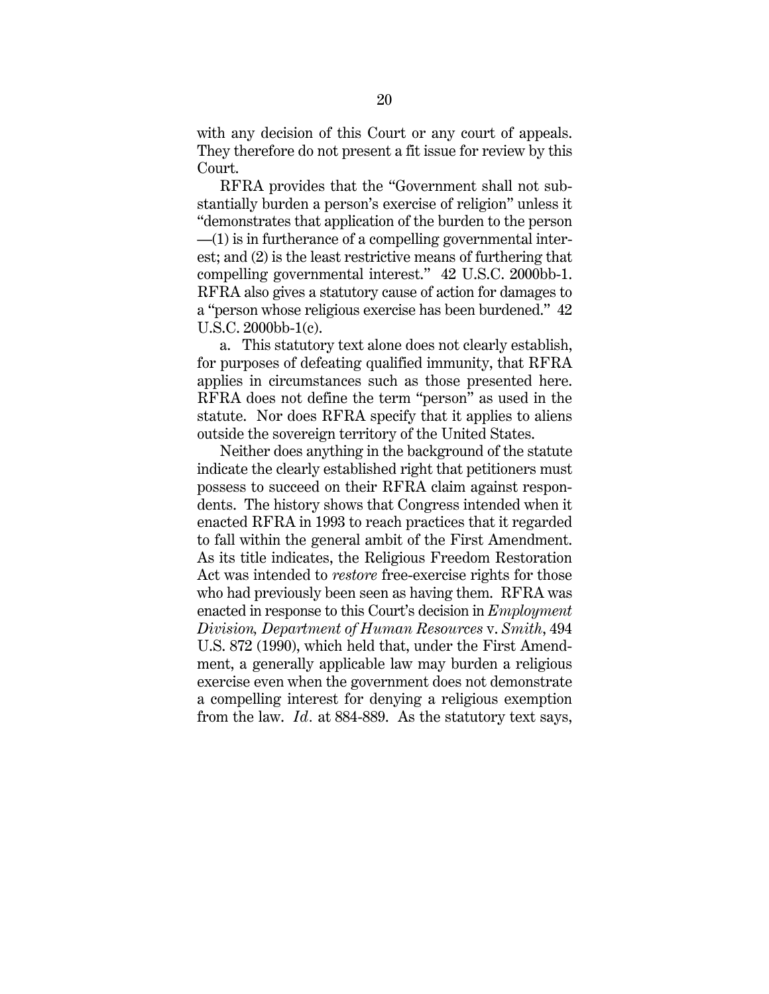with any decision of this Court or any court of appeals. They therefore do not present a fit issue for review by this Court.

RFRA provides that the "Government shall not substantially burden a person's exercise of religion" unless it "demonstrates that application of the burden to the person —(1) is in furtherance of a compelling governmental interest; and (2) is the least restrictive means of furthering that compelling governmental interest." 42 U.S.C. 2000bb-1. RFRA also gives a statutory cause of action for damages to a "person whose religious exercise has been burdened." 42 U.S.C. 2000bb-1(c).

a. This statutory text alone does not clearly establish, for purposes of defeating qualified immunity, that RFRA applies in circumstances such as those presented here. RFRA does not define the term "person" as used in the statute. Nor does RFRA specify that it applies to aliens outside the sovereign territory of the United States.

Neither does anything in the background of the statute indicate the clearly established right that petitioners must possess to succeed on their RFRA claim against respondents. The history shows that Congress intended when it enacted RFRA in 1993 to reach practices that it regarded to fall within the general ambit of the First Amendment. As its title indicates, the Religious Freedom Restoration Act was intended to *restore* free-exercise rights for those who had previously been seen as having them. RFRA was enacted in response to this Court's decision in *Employment Division, Department of Human Resources* v. *Smith*, 494 U.S. 872 (1990), which held that, under the First Amendment, a generally applicable law may burden a religious exercise even when the government does not demonstrate a compelling interest for denying a religious exemption from the law. *Id.* at 884-889. As the statutory text says,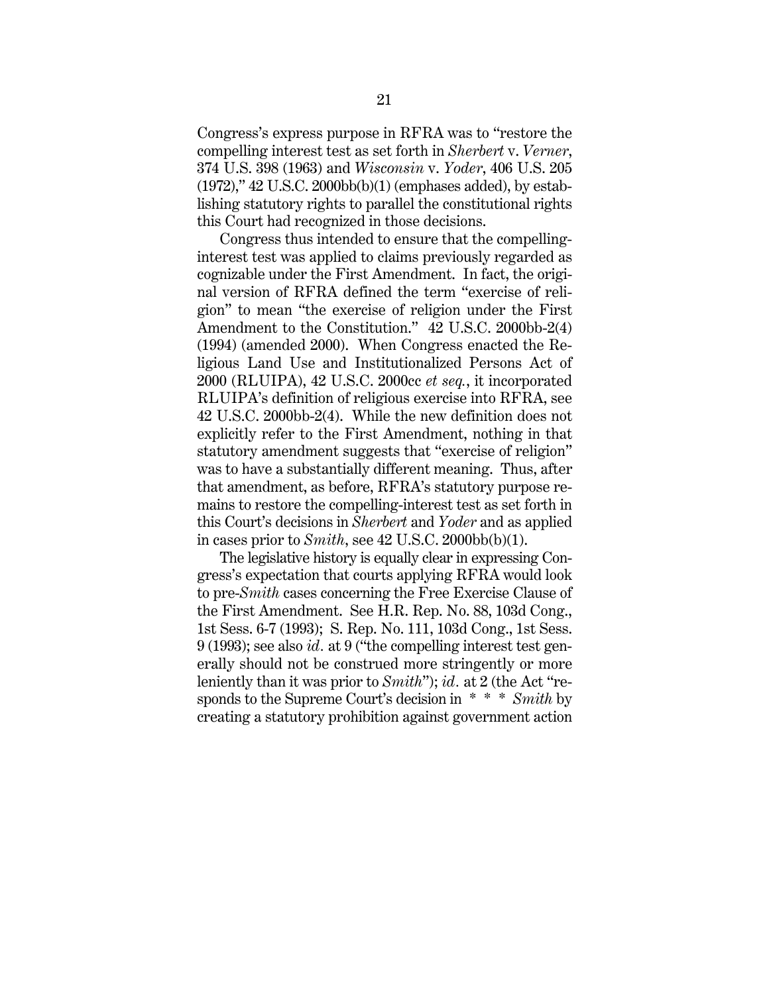Congress's express purpose in RFRA was to "restore the compelling interest test as set forth in *Sherbert* v. *Verner*, 374 U.S. 398 (1963) and *Wisconsin* v. *Yoder*, 406 U.S. 205 (1972)," 42 U.S.C. 2000bb(b)(1) (emphases added), by establishing statutory rights to parallel the constitutional rights this Court had recognized in those decisions.

Congress thus intended to ensure that the compellinginterest test was applied to claims previously regarded as cognizable under the First Amendment. In fact, the original version of RFRA defined the term "exercise of religion" to mean "the exercise of religion under the First Amendment to the Constitution." 42 U.S.C. 2000bb-2(4) (1994) (amended 2000). When Congress enacted the Religious Land Use and Institutionalized Persons Act of 2000 (RLUIPA), 42 U.S.C. 2000cc *et seq.*, it incorporated RLUIPA's definition of religious exercise into RFRA, see 42 U.S.C. 2000bb-2(4). While the new definition does not explicitly refer to the First Amendment, nothing in that statutory amendment suggests that "exercise of religion" was to have a substantially different meaning. Thus, after that amendment, as before, RFRA's statutory purpose remains to restore the compelling-interest test as set forth in this Court's decisions in *Sherbert* and *Yoder* and as applied in cases prior to  $Smith$ , see  $42$  U.S.C.  $2000bb(b)(1)$ .

The legislative history is equally clear in expressing Congress's expectation that courts applying RFRA would look to pre-*Smith* cases concerning the Free Exercise Clause of the First Amendment. See H.R. Rep. No. 88, 103d Cong., 1st Sess. 6-7 (1993); S. Rep. No. 111, 103d Cong., 1st Sess. 9 (1993); see also *id.* at 9 ("the compelling interest test generally should not be construed more stringently or more leniently than it was prior to *Smith*"); *id.* at 2 (the Act "responds to the Supreme Court's decision in \* \* \* *Smith* by creating a statutory prohibition against government action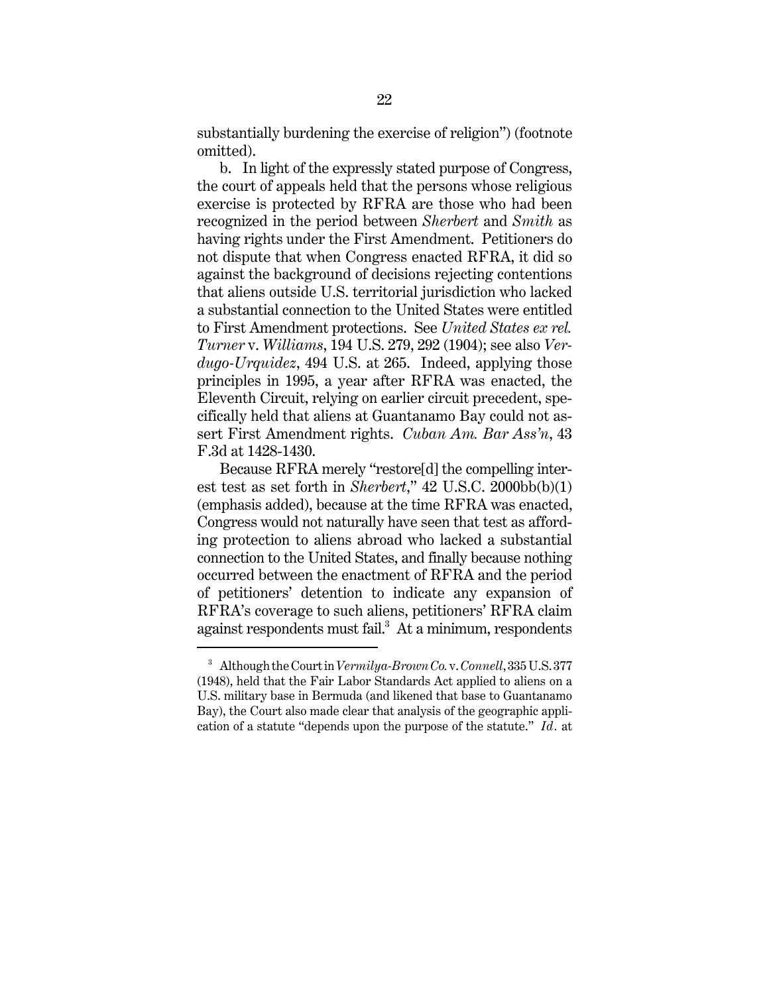substantially burdening the exercise of religion") (footnote omitted).

b. In light of the expressly stated purpose of Congress, the court of appeals held that the persons whose religious exercise is protected by RFRA are those who had been recognized in the period between *Sherbert* and *Smith* as having rights under the First Amendment. Petitioners do not dispute that when Congress enacted RFRA, it did so against the background of decisions rejecting contentions that aliens outside U.S. territorial jurisdiction who lacked a substantial connection to the United States were entitled to First Amendment protections. See *United States ex rel. Turner* v. *Williams*, 194 U.S. 279, 292 (1904); see also *Verdugo-Urquidez*, 494 U.S. at 265. Indeed, applying those principles in 1995, a year after RFRA was enacted, the Eleventh Circuit, relying on earlier circuit precedent, specifically held that aliens at Guantanamo Bay could not assert First Amendment rights. *Cuban Am. Bar Ass'n*, 43 F.3d at 1428-1430.

Because RFRA merely "restore[d] the compelling interest test as set forth in *Sherbert*," 42 U.S.C. 2000bb(b)(1) (emphasis added), because at the time RFRA was enacted, Congress would not naturally have seen that test as affording protection to aliens abroad who lacked a substantial connection to the United States, and finally because nothing occurred between the enactment of RFRA and the period of petitioners' detention to indicate any expansion of RFRA's coverage to such aliens, petitioners' RFRA claim against respondents must fail.<sup>3</sup> At a minimum, respondents

<sup>3</sup> Although the Court in *Vermilya-Brown Co.* v. *Connell*, 335 U.S. 377 (1948), held that the Fair Labor Standards Act applied to aliens on a U.S. military base in Bermuda (and likened that base to Guantanamo Bay), the Court also made clear that analysis of the geographic application of a statute "depends upon the purpose of the statute." *Id.* at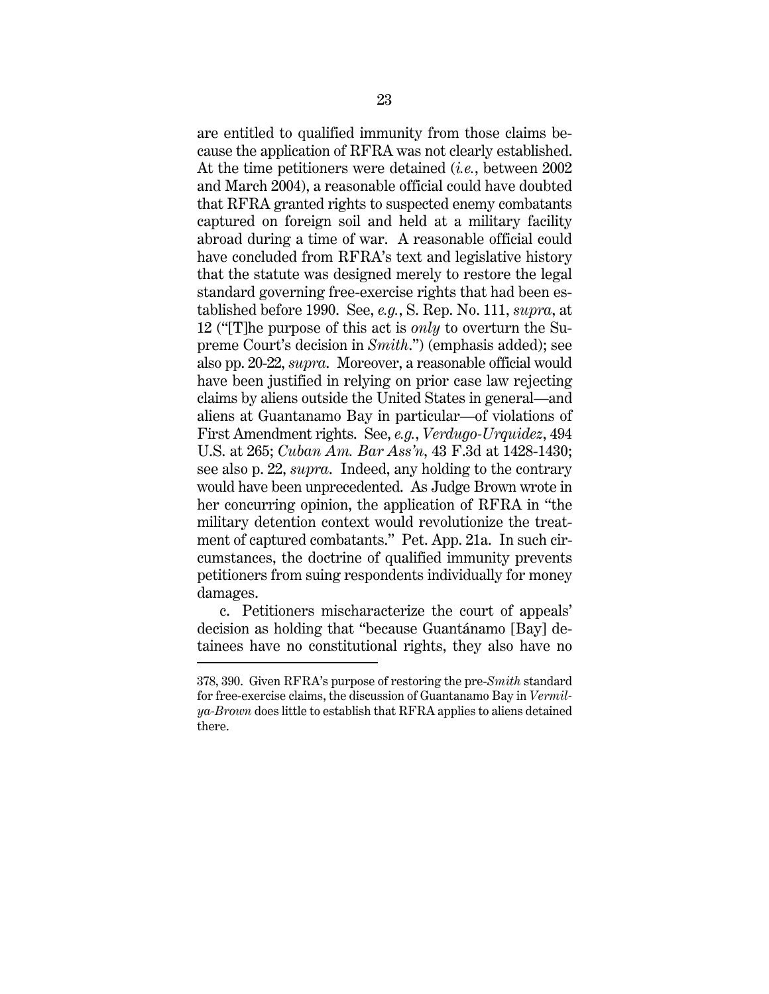are entitled to qualified immunity from those claims because the application of RFRA was not clearly established. At the time petitioners were detained (*i.e.*, between 2002 and March 2004), a reasonable official could have doubted that RFRA granted rights to suspected enemy combatants captured on foreign soil and held at a military facility abroad during a time of war. A reasonable official could have concluded from RFRA's text and legislative history that the statute was designed merely to restore the legal standard governing free-exercise rights that had been established before 1990. See, *e.g.*, S. Rep. No. 111, *supra*, at 12 ("[T]he purpose of this act is *only* to overturn the Supreme Court's decision in *Smith*.") (emphasis added); see also pp. 20-22, *supra*. Moreover, a reasonable official would have been justified in relying on prior case law rejecting claims by aliens outside the United States in general—and aliens at Guantanamo Bay in particular—of violations of First Amendment rights. See, *e.g.*, *Verdugo-Urquidez*, 494 U.S. at 265; *Cuban Am. Bar Ass'n*, 43 F.3d at 1428-1430; see also p. 22, *supra*. Indeed, any holding to the contrary would have been unprecedented. As Judge Brown wrote in her concurring opinion, the application of RFRA in "the military detention context would revolutionize the treatment of captured combatants." Pet. App. 21a. In such circumstances, the doctrine of qualified immunity prevents petitioners from suing respondents individually for money damages.

c. Petitioners mischaracterize the court of appeals' decision as holding that "because Guantánamo [Bay] detainees have no constitutional rights, they also have no

<sup>378, 390.</sup> Given RFRA's purpose of restoring the pre-*Smith* standard for free-exercise claims, the discussion of Guantanamo Bay in *Vermilya-Brown* does little to establish that RFRA applies to aliens detained there.